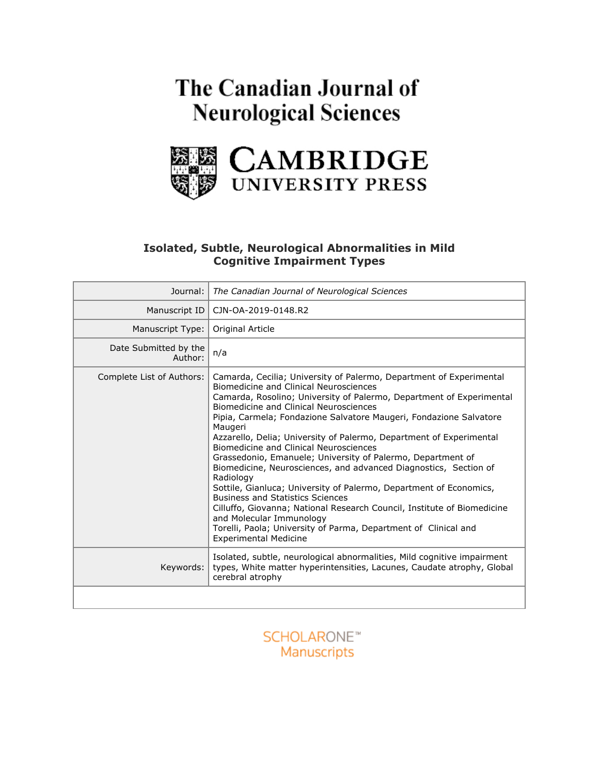# The Canadian Journal of **Neurological Sciences**



# **Isolated, Subtle, Neurological Abnormalities in Mild Cognitive Impairment Types**

| Journal:                         | The Canadian Journal of Neurological Sciences                                                                                                                                                                                                                                                                                                                                                                                                                                                                                                                                                                                                                                                                                                                                                                                                                                                                |
|----------------------------------|--------------------------------------------------------------------------------------------------------------------------------------------------------------------------------------------------------------------------------------------------------------------------------------------------------------------------------------------------------------------------------------------------------------------------------------------------------------------------------------------------------------------------------------------------------------------------------------------------------------------------------------------------------------------------------------------------------------------------------------------------------------------------------------------------------------------------------------------------------------------------------------------------------------|
| Manuscript ID                    | CJN-OA-2019-0148.R2                                                                                                                                                                                                                                                                                                                                                                                                                                                                                                                                                                                                                                                                                                                                                                                                                                                                                          |
| Manuscript Type:                 | Original Article                                                                                                                                                                                                                                                                                                                                                                                                                                                                                                                                                                                                                                                                                                                                                                                                                                                                                             |
| Date Submitted by the<br>Author: | n/a                                                                                                                                                                                                                                                                                                                                                                                                                                                                                                                                                                                                                                                                                                                                                                                                                                                                                                          |
| Complete List of Authors:        | Camarda, Cecilia; University of Palermo, Department of Experimental<br>Biomedicine and Clinical Neurosciences<br>Camarda, Rosolino; University of Palermo, Department of Experimental<br>Biomedicine and Clinical Neurosciences<br>Pipia, Carmela; Fondazione Salvatore Maugeri, Fondazione Salvatore<br>Maugeri<br>Azzarello, Delia; University of Palermo, Department of Experimental<br>Biomedicine and Clinical Neurosciences<br>Grassedonio, Emanuele; University of Palermo, Department of<br>Biomedicine, Neurosciences, and advanced Diagnostics, Section of<br>Radiology<br>Sottile, Gianluca; University of Palermo, Department of Economics,<br><b>Business and Statistics Sciences</b><br>Cilluffo, Giovanna; National Research Council, Institute of Biomedicine<br>and Molecular Immunology<br>Torelli, Paola; University of Parma, Department of Clinical and<br><b>Experimental Medicine</b> |
| Keywords:                        | Isolated, subtle, neurological abnormalities, Mild cognitive impairment<br>types, White matter hyperintensities, Lacunes, Caudate atrophy, Global<br>cerebral atrophy                                                                                                                                                                                                                                                                                                                                                                                                                                                                                                                                                                                                                                                                                                                                        |
|                                  |                                                                                                                                                                                                                                                                                                                                                                                                                                                                                                                                                                                                                                                                                                                                                                                                                                                                                                              |

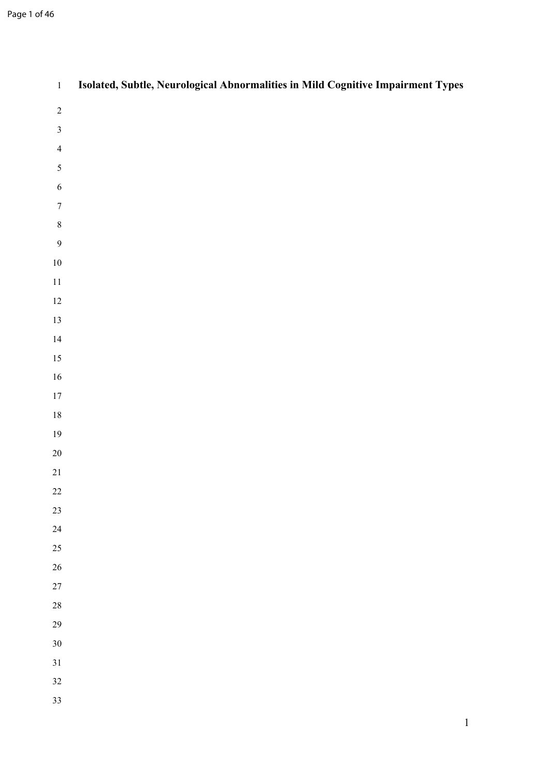| $\,1$            | Isolated, Subtle, Neurological Abnormalities in Mild Cognitive Impairment Types |
|------------------|---------------------------------------------------------------------------------|
| $\sqrt{2}$       |                                                                                 |
| $\mathfrak{Z}$   |                                                                                 |
| $\overline{4}$   |                                                                                 |
| 5                |                                                                                 |
| $\sqrt{6}$       |                                                                                 |
| $\boldsymbol{7}$ |                                                                                 |
| $\,8\,$          |                                                                                 |
| $\mathbf{9}$     |                                                                                 |
| $10\,$           |                                                                                 |
| $11\,$           |                                                                                 |
| $12\,$           |                                                                                 |
| $13\,$           |                                                                                 |
| 14               |                                                                                 |
| $15\,$           |                                                                                 |
| $16\,$<br>$17\,$ |                                                                                 |
| $18\,$           |                                                                                 |
| $19\,$           |                                                                                 |
| $20\,$           |                                                                                 |
| $21\,$           |                                                                                 |
| $22\,$           |                                                                                 |
| $23\,$           |                                                                                 |
| $24\,$           |                                                                                 |
| 25               |                                                                                 |
| $26\,$           |                                                                                 |
| $27\,$           |                                                                                 |
| $28\,$           |                                                                                 |
| 29               |                                                                                 |
| $30\,$           |                                                                                 |
| 31               |                                                                                 |
| $32\,$           |                                                                                 |
| 33               |                                                                                 |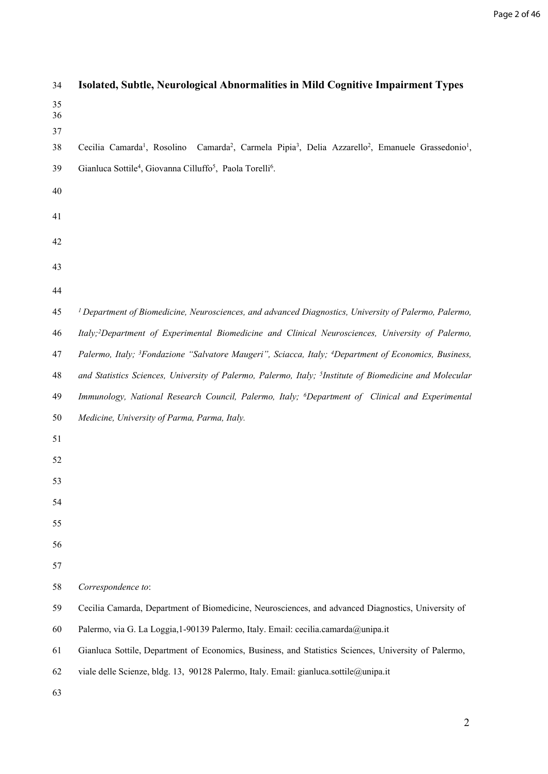| 34             | Isolated, Subtle, Neurological Abnormalities in Mild Cognitive Impairment Types                                                                                   |
|----------------|-------------------------------------------------------------------------------------------------------------------------------------------------------------------|
| 35<br>36<br>37 |                                                                                                                                                                   |
| 38             | Camarda <sup>2</sup> , Carmela Pipia <sup>3</sup> , Delia Azzarello <sup>2</sup> , Emanuele Grassedonio <sup>1</sup> ,<br>Cecilia Camarda <sup>1</sup> , Rosolino |
| 39             | Gianluca Sottile <sup>4</sup> , Giovanna Cilluffo <sup>5</sup> , Paola Torelli <sup>6</sup> .                                                                     |
| 40             |                                                                                                                                                                   |
| 41             |                                                                                                                                                                   |
| 42             |                                                                                                                                                                   |
| 43             |                                                                                                                                                                   |
| 44             |                                                                                                                                                                   |
| 45             | <sup>1</sup> Department of Biomedicine, Neurosciences, and advanced Diagnostics, University of Palermo, Palermo,                                                  |
| 46             | Italy; <sup>2</sup> Department of Experimental Biomedicine and Clinical Neurosciences, University of Palermo,                                                     |
| 47             | Palermo, Italy; <sup>3</sup> Fondazione "Salvatore Maugeri", Sciacca, Italy; <sup>4</sup> Department of Economics, Business,                                      |
| 48             | and Statistics Sciences, University of Palermo, Palermo, Italy; <sup>5</sup> Institute of Biomedicine and Molecular                                               |
| 49             | Immunology, National Research Council, Palermo, Italy; <sup>6</sup> Department of Clinical and Experimental                                                       |
| 50             | Medicine, University of Parma, Parma, Italy.                                                                                                                      |
| 51             |                                                                                                                                                                   |
| 52             |                                                                                                                                                                   |
| 53             |                                                                                                                                                                   |
| 54             |                                                                                                                                                                   |
| 55             |                                                                                                                                                                   |
| 56             |                                                                                                                                                                   |
| 57             |                                                                                                                                                                   |
| 58             | Correspondence to:                                                                                                                                                |
| 59             | Cecilia Camarda, Department of Biomedicine, Neurosciences, and advanced Diagnostics, University of                                                                |
| 60             | Palermo, via G. La Loggia, 1-90139 Palermo, Italy. Email: cecilia.camarda@unipa.it                                                                                |
| 61             | Gianluca Sottile, Department of Economics, Business, and Statistics Sciences, University of Palermo,                                                              |
| 62             | viale delle Scienze, bldg. 13, 90128 Palermo, Italy. Email: gianluca.sottile@unipa.it                                                                             |
| 63             |                                                                                                                                                                   |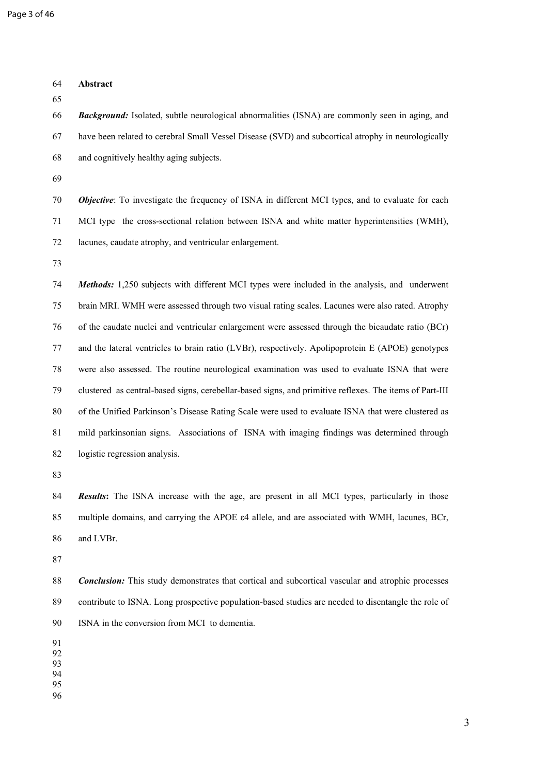| 64<br>65                   | Abstract                                                                                                   |
|----------------------------|------------------------------------------------------------------------------------------------------------|
| 66                         | <b>Background:</b> Isolated, subtle neurological abnormalities (ISNA) are commonly seen in aging, and      |
| 67                         | have been related to cerebral Small Vessel Disease (SVD) and subcortical atrophy in neurologically         |
| 68                         | and cognitively healthy aging subjects.                                                                    |
| 69                         |                                                                                                            |
| 70                         | <b>Objective:</b> To investigate the frequency of ISNA in different MCI types, and to evaluate for each    |
| 71                         | MCI type the cross-sectional relation between ISNA and white matter hyperintensities (WMH),                |
| 72                         | lacunes, caudate atrophy, and ventricular enlargement.                                                     |
| 73                         |                                                                                                            |
| 74                         | Methods: 1,250 subjects with different MCI types were included in the analysis, and underwent              |
| 75                         | brain MRI. WMH were assessed through two visual rating scales. Lacunes were also rated. Atrophy            |
| 76                         | of the caudate nuclei and ventricular enlargement were assessed through the bicaudate ratio (BCr)          |
| 77                         | and the lateral ventricles to brain ratio (LVBr), respectively. Apolipoprotein E (APOE) genotypes          |
| 78                         | were also assessed. The routine neurological examination was used to evaluate ISNA that were               |
| 79                         | clustered as central-based signs, cerebellar-based signs, and primitive reflexes. The items of Part-III    |
| 80                         | of the Unified Parkinson's Disease Rating Scale were used to evaluate ISNA that were clustered as          |
| 81                         | mild parkinsonian signs. Associations of ISNA with imaging findings was determined through                 |
| 82                         | logistic regression analysis.                                                                              |
| 83                         |                                                                                                            |
| 84                         | <b>Results:</b> The ISNA increase with the age, are present in all MCI types, particularly in those        |
| 85                         | multiple domains, and carrying the APOE $\varepsilon$ 4 allele, and are associated with WMH, lacunes, BCr, |
| 86                         | and LVBr.                                                                                                  |
| 87                         |                                                                                                            |
| 88                         | <b>Conclusion:</b> This study demonstrates that cortical and subcortical vascular and atrophic processes   |
| 89                         | contribute to ISNA. Long prospective population-based studies are needed to disentangle the role of        |
| 90                         | ISNA in the conversion from MCI to dementia.                                                               |
| 91<br>92<br>93<br>94<br>95 |                                                                                                            |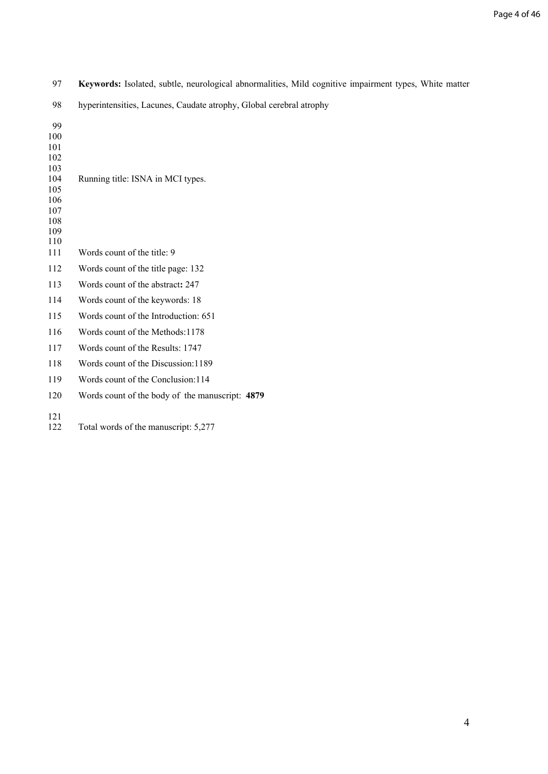| 97                                                                              | Keywords: Isolated, subtle, neurological abnormalities, Mild cognitive impairment types, White matter |
|---------------------------------------------------------------------------------|-------------------------------------------------------------------------------------------------------|
| 98                                                                              | hyperintensities, Lacunes, Caudate atrophy, Global cerebral atrophy                                   |
| 99<br>100<br>101<br>102<br>103<br>104<br>105<br>106<br>107<br>108<br>109<br>110 | Running title: ISNA in MCI types.                                                                     |
| 111                                                                             | Words count of the title: 9                                                                           |
| 112                                                                             | Words count of the title page: 132                                                                    |
| 113                                                                             | Words count of the abstract: 247                                                                      |
| 114                                                                             | Words count of the keywords: 18                                                                       |
| 115                                                                             | Words count of the Introduction: 651                                                                  |
| 116                                                                             | Words count of the Methods:1178                                                                       |
| 117                                                                             | Words count of the Results: 1747                                                                      |
| 118                                                                             | Words count of the Discussion: 1189                                                                   |
| 119                                                                             | Words count of the Conclusion: 114                                                                    |
| 120                                                                             | Words count of the body of the manuscript: 4879                                                       |
| 121<br>122                                                                      | Total words of the manuscript: 5,277                                                                  |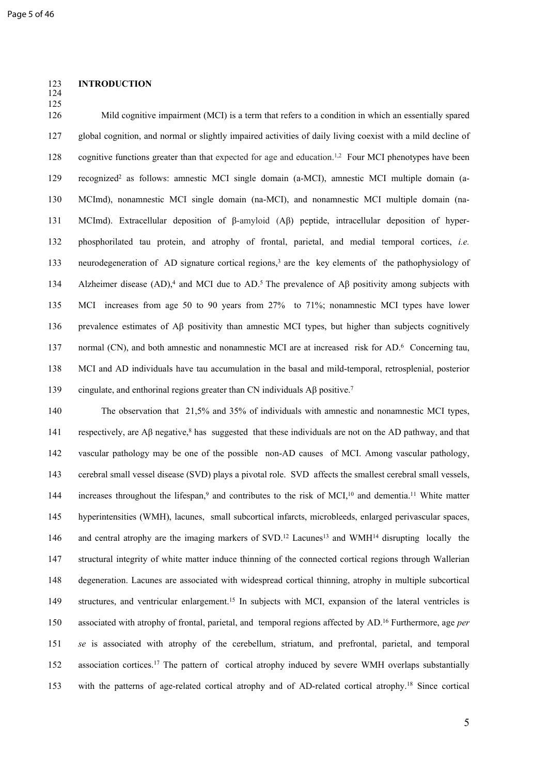#### 123 **INTRODUCTION** 124

125

126 Mild cognitive impairment (MCI) is a term that refers to a condition in which an essentially spared 127 global cognition, and normal or slightly impaired activities of daily living coexist with a mild decline of 128 cognitive functions greater than that expected for age and education.<sup>1,2</sup> Four MCI phenotypes have been 129 recognized<sup>2</sup> as follows: amnestic MCI single domain (a-MCI), amnestic MCI multiple domain (a-130 MCImd), nonamnestic MCI single domain (na-MCI), and nonamnestic MCI multiple domain (na-131 MCImd). Extracellular deposition of β-amyloid (Aβ) peptide, intracellular deposition of hyper-132 phosphorilated tau protein, and atrophy of frontal, parietal, and medial temporal cortices, *i.e.* 133 neurodegeneration of AD signature cortical regions,<sup>3</sup> are the key elements of the pathophysiology of 134 Alzheimer disease (AD),<sup>4</sup> and MCI due to AD.<sup>5</sup> The prevalence of A $\beta$  positivity among subjects with 135 MCI increases from age 50 to 90 years from 27% to 71%; nonamnestic MCI types have lower 136 prevalence estimates of Aβ positivity than amnestic MCI types, but higher than subjects cognitively 137 normal (CN), and both amnestic and nonamnestic MCI are at increased risk for AD.<sup>6</sup> Concerning tau, 138 MCI and AD individuals have tau accumulation in the basal and mild-temporal, retrosplenial, posterior 139 cingulate, and enthorinal regions greater than CN individuals AB positive.<sup>7</sup>

140 The observation that 21,5% and 35% of individuals with amnestic and nonamnestic MCI types, 141 respectively, are  $\mathbf{A}\beta$  negative,<sup>8</sup> has suggested that these individuals are not on the AD pathway, and that 142 vascular pathology may be one of the possible non-AD causes of MCI. Among vascular pathology, 143 cerebral small vessel disease (SVD) plays a pivotal role. SVD affects the smallest cerebral small vessels, 144 increases throughout the lifespan,<sup>9</sup> and contributes to the risk of MCI,<sup>10</sup> and dementia.<sup>11</sup> White matter 145 hyperintensities (WMH), lacunes, small subcortical infarcts, microbleeds, enlarged perivascular spaces, 146 and central atrophy are the imaging markers of SVD.<sup>12</sup> Lacunes<sup>13</sup> and WMH<sup>14</sup> disrupting locally the 147 structural integrity of white matter induce thinning of the connected cortical regions through Wallerian 148 degeneration. Lacunes are associated with widespread cortical thinning, atrophy in multiple subcortical 149 structures, and ventricular enlargement.<sup>15</sup> In subjects with MCI, expansion of the lateral ventricles is 150 associated with atrophy of frontal, parietal, and temporal regions affected by AD.<sup>16</sup> Furthermore, age *per*  151 *se* is associated with atrophy of the cerebellum, striatum, and prefrontal, parietal, and temporal 152 association cortices.<sup>17</sup> The pattern of cortical atrophy induced by severe WMH overlaps substantially 153 with the patterns of age-related cortical atrophy and of AD-related cortical atrophy.<sup>18</sup> Since cortical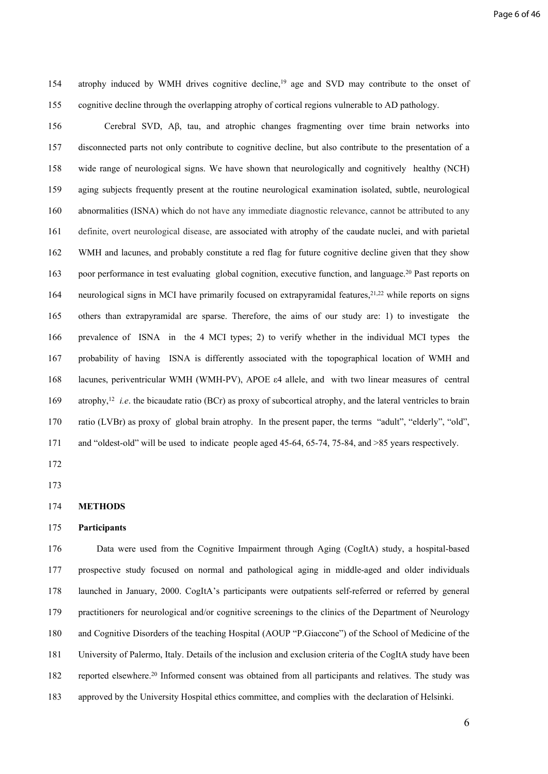154 atrophy induced by WMH drives cognitive decline,<sup>19</sup> age and SVD may contribute to the onset of 155 cognitive decline through the overlapping atrophy of cortical regions vulnerable to AD pathology.

156 Cerebral SVD, Aβ, tau, and atrophic changes fragmenting over time brain networks into 157 disconnected parts not only contribute to cognitive decline, but also contribute to the presentation of a 158 wide range of neurological signs. We have shown that neurologically and cognitively healthy (NCH) 159 aging subjects frequently present at the routine neurological examination isolated, subtle, neurological 160 abnormalities (ISNA) which do not have any immediate diagnostic relevance, cannot be attributed to any 161 definite, overt neurological disease, are associated with atrophy of the caudate nuclei, and with parietal 162 WMH and lacunes, and probably constitute a red flag for future cognitive decline given that they show 163 poor performance in test evaluating global cognition, executive function, and language.<sup>20</sup> Past reports on 164 neurological signs in MCI have primarily focused on extrapyramidal features,<sup>21,22</sup> while reports on signs 165 others than extrapyramidal are sparse. Therefore, the aims of our study are: 1) to investigate the 166 prevalence of ISNA in the 4 MCI types; 2) to verify whether in the individual MCI types the 167 probability of having ISNA is differently associated with the topographical location of WMH and 168 lacunes, periventricular WMH (WMH-PV), APOE ε4 allele, and with two linear measures of central 169 atrophy,<sup>12</sup> *i.e.* the bicaudate ratio (BCr) as proxy of subcortical atrophy, and the lateral ventricles to brain 170 ratio (LVBr) as proxy of global brain atrophy. In the present paper, the terms "adult", "elderly", "old", 171 and "oldest-old" will be used to indicate people aged 45-64, 65-74, 75-84, and >85 years respectively.

172

173

#### 175 **Participants**

176 Data were used from the Cognitive Impairment through Aging (CogItA) study, a hospital-based 177 prospective study focused on normal and pathological aging in middle-aged and older individuals 178 launched in January, 2000. CogItA's participants were outpatients self-referred or referred by general 179 practitioners for neurological and/or cognitive screenings to the clinics of the Department of Neurology 180 and Cognitive Disorders of the teaching Hospital (AOUP "P.Giaccone") of the School of Medicine of the 181 University of Palermo, Italy. Details of the inclusion and exclusion criteria of the CogItA study have been 182 reported elsewhere.<sup>20</sup> Informed consent was obtained from all participants and relatives. The study was 183 approved by the University Hospital ethics committee, and complies with the declaration of Helsinki.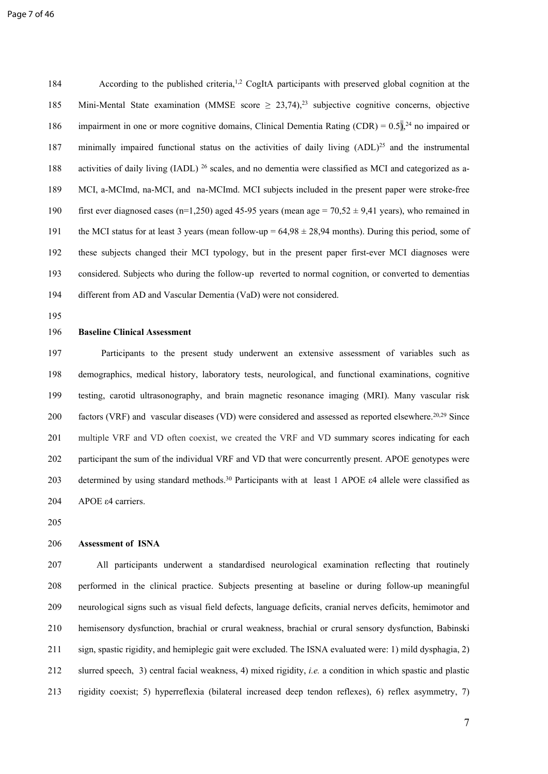184 According to the published criteria,<sup>1,2</sup> CogItA participants with preserved global cognition at the 185 Mini-Mental State examination (MMSE score  $\geq 23,74$ ),<sup>23</sup> subjective cognitive concerns, objective 186 impairment in one or more cognitive domains, Clinical Dementia Rating (CDR) =  $0.5$ ),<sup>24</sup> no impaired or 187 minimally impaired functional status on the activities of daily living (ADL)<sup>25</sup> and the instrumental 188 activities of daily living (IADL) <sup>26</sup> scales, and no dementia were classified as MCI and categorized as a-189 MCI, a-MCImd, na-MCI, and na-MCImd. MCI subjects included in the present paper were stroke-free 190 first ever diagnosed cases (n=1,250) aged 45-95 years (mean age =  $70,52 \pm 9,41$  years), who remained in 191 the MCI status for at least 3 years (mean follow-up =  $64,98 \pm 28,94$  months). During this period, some of 192 these subjects changed their MCI typology, but in the present paper first-ever MCI diagnoses were 193 considered. Subjects who during the follow-up reverted to normal cognition, or converted to dementias 194 different from AD and Vascular Dementia (VaD) were not considered.

195

#### 196 **Baseline Clinical Assessment**

197 Participants to the present study underwent an extensive assessment of variables such as 198 demographics, medical history, laboratory tests, neurological, and functional examinations, cognitive 199 testing, carotid ultrasonography, and brain magnetic resonance imaging (MRI). Many vascular risk 200 factors (VRF) and vascular diseases (VD) were considered and assessed as reported elsewhere.<sup>20,29</sup> Since 201 multiple VRF and VD often coexist, we created the VRF and VD summary scores indicating for each 202 participant the sum of the individual VRF and VD that were concurrently present. APOE genotypes were 203 determined by using standard methods.<sup>30</sup> Participants with at least 1 APOE  $\varepsilon$ 4 allele were classified as 204 APOE ε4 carriers.

205

#### 206 **Assessment of ISNA**

207 All participants underwent a standardised neurological examination reflecting that routinely 208 performed in the clinical practice. Subjects presenting at baseline or during follow-up meaningful 209 neurological signs such as visual field defects, language deficits, cranial nerves deficits, hemimotor and 210 hemisensory dysfunction, brachial or crural weakness, brachial or crural sensory dysfunction, Babinski 211 sign, spastic rigidity, and hemiplegic gait were excluded. The ISNA evaluated were: 1) mild dysphagia, 2) 212 slurred speech, 3) central facial weakness, 4) mixed rigidity, *i.e.* a condition in which spastic and plastic 213 rigidity coexist; 5) hyperreflexia (bilateral increased deep tendon reflexes), 6) reflex asymmetry, 7)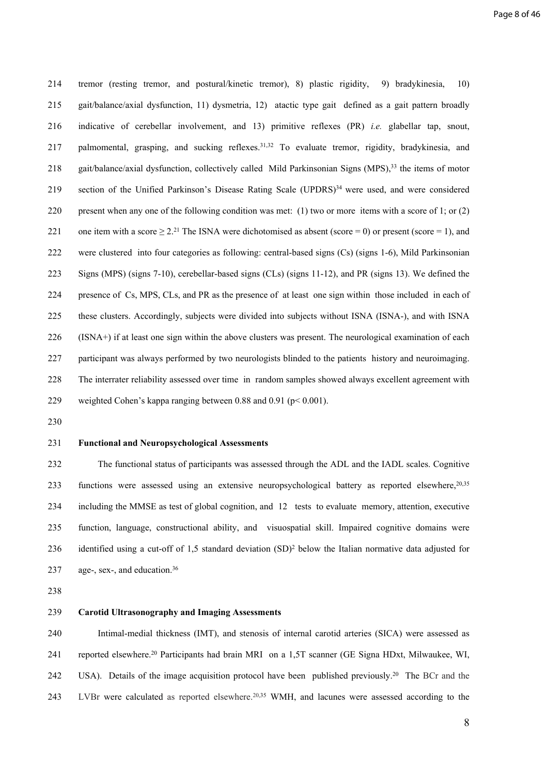214 tremor (resting tremor, and postural/kinetic tremor), 8) plastic rigidity, 9) bradykinesia, 10) 215 gait/balance/axial dysfunction, 11) dysmetria, 12) atactic type gait defined as a gait pattern broadly 216 indicative of cerebellar involvement, and 13) primitive reflexes (PR) *i.e.* glabellar tap, snout, 217 palmomental, grasping, and sucking reflexes.<sup>31,32</sup> To evaluate tremor, rigidity, bradykinesia, and 218 gait/balance/axial dysfunction, collectively called Mild Parkinsonian Signs (MPS),<sup>33</sup> the items of motor 219 section of the Unified Parkinson's Disease Rating Scale (UPDRS)<sup>34</sup> were used, and were considered 220 present when any one of the following condition was met: (1) two or more items with a score of 1; or (2) 221 one item with a score  $\geq 2$ .<sup>21</sup> The ISNA were dichotomised as absent (score = 0) or present (score = 1), and 222 were clustered into four categories as following: central-based signs (Cs) (signs 1-6), Mild Parkinsonian 223 Signs (MPS) (signs 7-10), cerebellar-based signs (CLs) (signs 11-12), and PR (signs 13). We defined the 224 presence of Cs, MPS, CLs, and PR as the presence of at least one sign within those included in each of 225 these clusters. Accordingly, subjects were divided into subjects without ISNA (ISNA-), and with ISNA 226 (ISNA+) if at least one sign within the above clusters was present. The neurological examination of each 227 participant was always performed by two neurologists blinded to the patients history and neuroimaging. 228 The interrater reliability assessed over time in random samples showed always excellent agreement with 229 weighted Cohen's kappa ranging between 0.88 and 0.91 (p< 0.001).

230

#### 231 **Functional and Neuropsychological Assessments**

232 The functional status of participants was assessed through the ADL and the IADL scales. Cognitive 233 functions were assessed using an extensive neuropsychological battery as reported elsewhere, <sup>20,35</sup> 234 including the MMSE as test of global cognition, and 12 tests to evaluate memory, attention, executive 235 function, language, constructional ability, and visuospatial skill. Impaired cognitive domains were 236 identified using a cut-off of 1,5 standard deviation  $(SD)^2$  below the Italian normative data adjusted for 237 age-, sex-, and education.<sup>36</sup>

238

#### 239 **Carotid Ultrasonography and Imaging Assessments**

240 Intimal-medial thickness (IMT), and stenosis of internal carotid arteries (SICA) were assessed as 241 reported elsewhere.<sup>20</sup> Participants had brain MRI on a 1,5T scanner (GE Signa HDxt, Milwaukee, WI, 242 USA). Details of the image acquisition protocol have been published previously.<sup>20</sup> The BCr and the 243 LVBr were calculated as reported elsewhere.<sup>20,35</sup> WMH, and lacunes were assessed according to the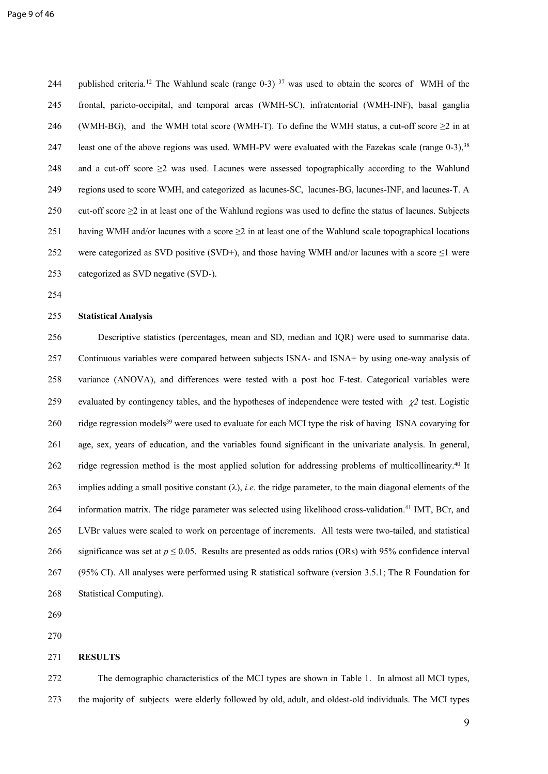244 published criteria.<sup>12</sup> The Wahlund scale (range 0-3) <sup>37</sup> was used to obtain the scores of WMH of the 245 frontal, parieto-occipital, and temporal areas (WMH-SC), infratentorial (WMH-INF), basal ganglia 246 (WMH-BG), and the WMH total score (WMH-T). To define the WMH status, a cut-off score  $\geq 2$  in at 247 least one of the above regions was used. WMH-PV were evaluated with the Fazekas scale (range 0-3),<sup>38</sup> 248 and a cut-off score  $\geq$  was used. Lacunes were assessed topographically according to the Wahlund 249 regions used to score WMH, and categorized as lacunes-SC, lacunes-BG, lacunes-INF, and lacunes-T. A 250 cut-off score ≥2 in at least one of the Wahlund regions was used to define the status of lacunes. Subjects 251 having WMH and/or lacunes with a score  $\geq$  2 in at least one of the Wahlund scale topographical locations 252 were categorized as SVD positive (SVD+), and those having WMH and/or lacunes with a score  $\leq$ 1 were 253 categorized as SVD negative (SVD-).

254

#### 255 **Statistical Analysis**

256 Descriptive statistics (percentages, mean and SD, median and IQR) were used to summarise data. 257 Continuous variables were compared between subjects ISNA- and ISNA+ by using one-way analysis of 258 variance (ANOVA), and differences were tested with a post hoc F-test. Categorical variables were 259 evaluated by contingency tables, and the hypotheses of independence were tested with  $\chi$ <sup>2</sup> test. Logistic 260 ridge regression models<sup>39</sup> were used to evaluate for each MCI type the risk of having ISNA covarying for 261 age, sex, years of education, and the variables found significant in the univariate analysis. In general, 262 ridge regression method is the most applied solution for addressing problems of multicollinearity.<sup>40</sup> It 263 implies adding a small positive constant  $(\lambda)$ , *i.e.* the ridge parameter, to the main diagonal elements of the 264 information matrix. The ridge parameter was selected using likelihood cross-validation.<sup>41</sup> IMT, BCr, and 265 LVBr values were scaled to work on percentage of increments. All tests were two-tailed, and statistical 266 significance was set at  $p \le 0.05$ . Results are presented as odds ratios (ORs) with 95% confidence interval 267 (95% CI). All analyses were performed using R statistical software (version 3.5.1; The R Foundation for 268 Statistical Computing).

269

270

#### 271 **RESULTS**

272 The demographic characteristics of the MCI types are shown in Table 1. In almost all MCI types, 273 the majority of subjects were elderly followed by old, adult, and oldest-old individuals. The MCI types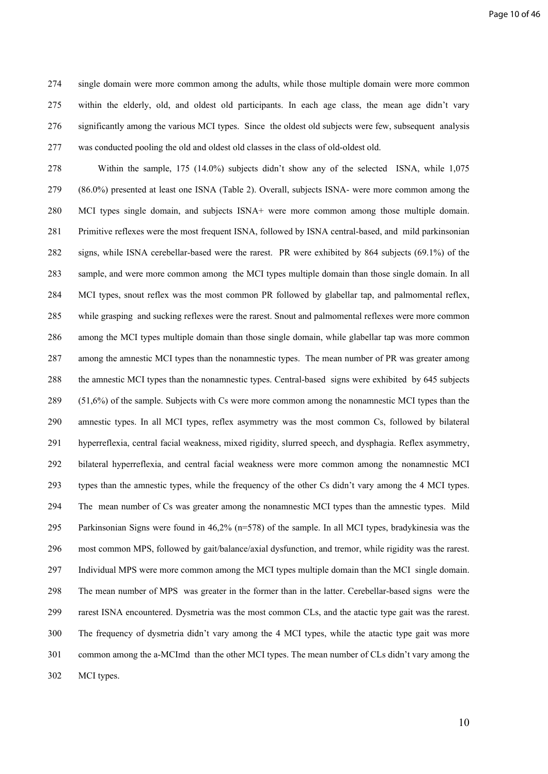274 single domain were more common among the adults, while those multiple domain were more common 275 within the elderly, old, and oldest old participants. In each age class, the mean age didn't vary 276 significantly among the various MCI types. Since the oldest old subjects were few, subsequent analysis 277 was conducted pooling the old and oldest old classes in the class of old-oldest old.

278 Within the sample, 175 (14.0%) subjects didn't show any of the selected ISNA, while 1,075 279 (86.0%) presented at least one ISNA (Table 2). Overall, subjects ISNA- were more common among the 280 MCI types single domain, and subjects ISNA+ were more common among those multiple domain. 281 Primitive reflexes were the most frequent ISNA, followed by ISNA central-based, and mild parkinsonian 282 signs, while ISNA cerebellar-based were the rarest. PR were exhibited by 864 subjects (69.1%) of the 283 sample, and were more common among the MCI types multiple domain than those single domain. In all 284 MCI types, snout reflex was the most common PR followed by glabellar tap, and palmomental reflex, 285 while grasping and sucking reflexes were the rarest. Snout and palmomental reflexes were more common 286 among the MCI types multiple domain than those single domain, while glabellar tap was more common 287 among the amnestic MCI types than the nonamnestic types. The mean number of PR was greater among 288 the amnestic MCI types than the nonamnestic types. Central-based signs were exhibited by 645 subjects 289 (51,6%) of the sample. Subjects with Cs were more common among the nonamnestic MCI types than the 290 amnestic types. In all MCI types, reflex asymmetry was the most common Cs, followed by bilateral 291 hyperreflexia, central facial weakness, mixed rigidity, slurred speech, and dysphagia. Reflex asymmetry, 292 bilateral hyperreflexia, and central facial weakness were more common among the nonamnestic MCI 293 types than the amnestic types, while the frequency of the other Cs didn't vary among the 4 MCI types. 294 The mean number of Cs was greater among the nonamnestic MCI types than the amnestic types. Mild 295 Parkinsonian Signs were found in 46,2% (n=578) of the sample. In all MCI types, bradykinesia was the 296 most common MPS, followed by gait/balance/axial dysfunction, and tremor, while rigidity was the rarest. 297 Individual MPS were more common among the MCI types multiple domain than the MCI single domain. 298 The mean number of MPS was greater in the former than in the latter. Cerebellar-based signs were the 299 rarest ISNA encountered. Dysmetria was the most common CLs, and the atactic type gait was the rarest. 300 The frequency of dysmetria didn't vary among the 4 MCI types, while the atactic type gait was more 301 common among the a-MCImd than the other MCI types. The mean number of CLs didn't vary among the 302 MCI types.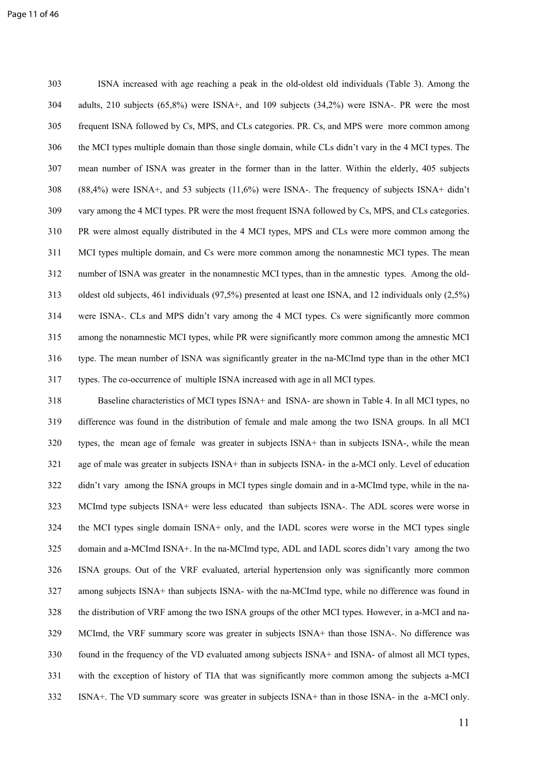303 ISNA increased with age reaching a peak in the old-oldest old individuals (Table 3). Among the 304 adults, 210 subjects (65,8%) were ISNA+, and 109 subjects (34,2%) were ISNA-. PR were the most 305 frequent ISNA followed by Cs, MPS, and CLs categories. PR. Cs, and MPS were more common among 306 the MCI types multiple domain than those single domain, while CLs didn't vary in the 4 MCI types. The 307 mean number of ISNA was greater in the former than in the latter. Within the elderly, 405 subjects 308 (88,4%) were ISNA+, and 53 subjects (11,6%) were ISNA-. The frequency of subjects ISNA+ didn't 309 vary among the 4 MCI types. PR were the most frequent ISNA followed by Cs, MPS, and CLs categories. 310 PR were almost equally distributed in the 4 MCI types, MPS and CLs were more common among the 311 MCI types multiple domain, and Cs were more common among the nonamnestic MCI types. The mean 312 number of ISNA was greater in the nonamnestic MCI types, than in the amnestic types. Among the old-313 oldest old subjects, 461 individuals (97,5%) presented at least one ISNA, and 12 individuals only (2,5%) 314 were ISNA-. CLs and MPS didn't vary among the 4 MCI types. Cs were significantly more common 315 among the nonamnestic MCI types, while PR were significantly more common among the amnestic MCI 316 type. The mean number of ISNA was significantly greater in the na-MCImd type than in the other MCI 317 types. The co-occurrence of multiple ISNA increased with age in all MCI types.

318 Baseline characteristics of MCI types ISNA+ and ISNA- are shown in Table 4. In all MCI types, no 319 difference was found in the distribution of female and male among the two ISNA groups. In all MCI 320 types, the mean age of female was greater in subjects ISNA+ than in subjects ISNA-, while the mean 321 age of male was greater in subjects ISNA+ than in subjects ISNA- in the a-MCI only. Level of education 322 didn't vary among the ISNA groups in MCI types single domain and in a-MCImd type, while in the na-323 MCImd type subjects ISNA+ were less educated than subjects ISNA-. The ADL scores were worse in 324 the MCI types single domain ISNA+ only, and the IADL scores were worse in the MCI types single 325 domain and a-MCImd ISNA+. In the na-MCImd type, ADL and IADL scores didn't vary among the two 326 ISNA groups. Out of the VRF evaluated, arterial hypertension only was significantly more common 327 among subjects ISNA+ than subjects ISNA- with the na-MCImd type, while no difference was found in 328 the distribution of VRF among the two ISNA groups of the other MCI types. However, in a-MCI and na-329 MCImd, the VRF summary score was greater in subjects ISNA+ than those ISNA-. No difference was 330 found in the frequency of the VD evaluated among subjects ISNA+ and ISNA- of almost all MCI types, 331 with the exception of history of TIA that was significantly more common among the subjects a-MCI 332 ISNA+. The VD summary score was greater in subjects ISNA+ than in those ISNA- in the a-MCI only.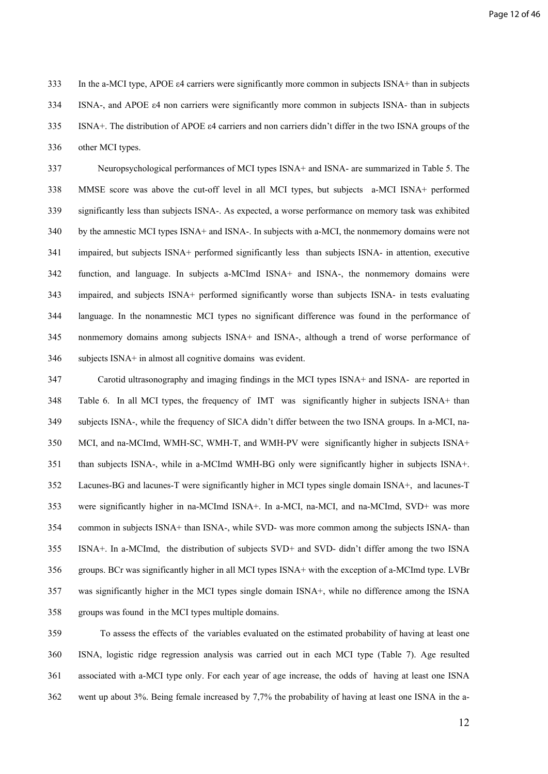333 In the a-MCI type, APOE ε4 carriers were significantly more common in subjects ISNA+ than in subjects 334 ISNA-, and APOE ε4 non carriers were significantly more common in subjects ISNA- than in subjects 335 ISNA+. The distribution of APOE ε4 carriers and non carriers didn't differ in the two ISNA groups of the 336 other MCI types.

337 Neuropsychological performances of MCI types ISNA+ and ISNA- are summarized in Table 5. The 338 MMSE score was above the cut-off level in all MCI types, but subjects a-MCI ISNA+ performed 339 significantly less than subjects ISNA-. As expected, a worse performance on memory task was exhibited 340 by the amnestic MCI types ISNA+ and ISNA-. In subjects with a-MCI, the nonmemory domains were not 341 impaired, but subjects ISNA+ performed significantly less than subjects ISNA- in attention, executive 342 function, and language. In subjects a-MCImd ISNA+ and ISNA-, the nonmemory domains were 343 impaired, and subjects ISNA+ performed significantly worse than subjects ISNA- in tests evaluating 344 language. In the nonamnestic MCI types no significant difference was found in the performance of 345 nonmemory domains among subjects ISNA+ and ISNA-, although a trend of worse performance of 346 subjects ISNA+ in almost all cognitive domains was evident.

347 Carotid ultrasonography and imaging findings in the MCI types ISNA+ and ISNA- are reported in 348 Table 6. In all MCI types, the frequency of IMT was significantly higher in subjects ISNA+ than 349 subjects ISNA-, while the frequency of SICA didn't differ between the two ISNA groups. In a-MCI, na-350 MCI, and na-MCImd, WMH-SC, WMH-T, and WMH-PV were significantly higher in subjects ISNA+ 351 than subjects ISNA-, while in a-MCImd WMH-BG only were significantly higher in subjects ISNA+. 352 Lacunes-BG and lacunes-T were significantly higher in MCI types single domain ISNA+, and lacunes-T 353 were significantly higher in na-MCImd ISNA+. In a-MCI, na-MCI, and na-MCImd, SVD+ was more 354 common in subjects ISNA+ than ISNA-, while SVD- was more common among the subjects ISNA- than 355 ISNA+. In a-MCImd, the distribution of subjects SVD+ and SVD- didn't differ among the two ISNA 356 groups. BCr was significantly higher in all MCI types ISNA+ with the exception of a-MCImd type. LVBr 357 was significantly higher in the MCI types single domain ISNA+, while no difference among the ISNA 358 groups was found in the MCI types multiple domains.

359 To assess the effects of the variables evaluated on the estimated probability of having at least one 360 ISNA, logistic ridge regression analysis was carried out in each MCI type (Table 7). Age resulted 361 associated with a-MCI type only. For each year of age increase, the odds of having at least one ISNA 362 went up about 3%. Being female increased by 7,7% the probability of having at least one ISNA in the a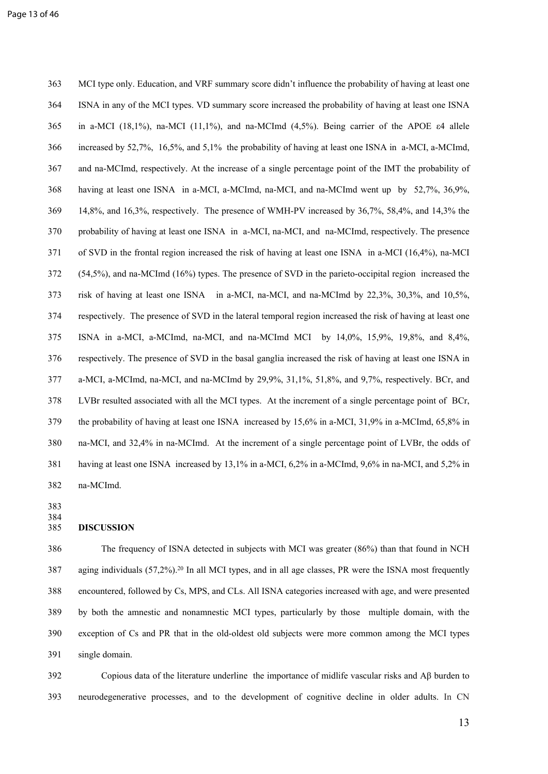363 MCI type only. Education, and VRF summary score didn't influence the probability of having at least one 364 ISNA in any of the MCI types. VD summary score increased the probability of having at least one ISNA 365 in a-MCI (18,1%), na-MCI (11,1%), and na-MCImd (4,5%). Being carrier of the APOE ε4 allele 366 increased by 52,7%, 16,5%, and 5,1% the probability of having at least one ISNA in a-MCI, a-MCImd, 367 and na-MCImd, respectively. At the increase of a single percentage point of the IMT the probability of 368 having at least one ISNA in a-MCI, a-MCImd, na-MCI, and na-MCImd went up by 52,7%, 36,9%, 369 14,8%, and 16,3%, respectively. The presence of WMH-PV increased by 36,7%, 58,4%, and 14,3% the 370 probability of having at least one ISNA in a-MCI, na-MCI, and na-MCImd, respectively. The presence 371 of SVD in the frontal region increased the risk of having at least one ISNA in a-MCI (16,4%), na-MCI 372 (54,5%), and na-MCImd (16%) types. The presence of SVD in the parieto-occipital region increased the 373 risk of having at least one ISNA in a-MCI, na-MCI, and na-MCImd by 22,3%, 30,3%, and 10,5%, 374 respectively. The presence of SVD in the lateral temporal region increased the risk of having at least one 375 ISNA in a-MCI, a-MCImd, na-MCI, and na-MCImd MCI by 14,0%, 15,9%, 19,8%, and 8,4%, 376 respectively. The presence of SVD in the basal ganglia increased the risk of having at least one ISNA in 377 a-MCI, a-MCImd, na-MCI, and na-MCImd by 29,9%, 31,1%, 51,8%, and 9,7%, respectively. BCr, and 378 LVBr resulted associated with all the MCI types. At the increment of a single percentage point of BCr, 379 the probability of having at least one ISNA increased by 15,6% in a-MCI, 31,9% in a-MCImd, 65,8% in 380 na-MCI, and 32,4% in na-MCImd. At the increment of a single percentage point of LVBr, the odds of 381 having at least one ISNA increased by 13,1% in a-MCI, 6,2% in a-MCImd, 9,6% in na-MCI, and 5,2% in 382 na-MCImd.

383 384

#### 385 **DISCUSSION**

386The frequency of ISNA detected in subjects with MCI was greater (86%) than that found in NCH 387 aging individuals (57,2%).<sup>20</sup> In all MCI types, and in all age classes, PR were the ISNA most frequently 388 encountered, followed by Cs, MPS, and CLs. All ISNA categories increased with age, and were presented 389 by both the amnestic and nonamnestic MCI types, particularly by those multiple domain, with the 390 exception of Cs and PR that in the old-oldest old subjects were more common among the MCI types 391 single domain.

392 Copious data of the literature underline the importance of midlife vascular risks and Aβ burden to 393 neurodegenerative processes, and to the development of cognitive decline in older adults. In CN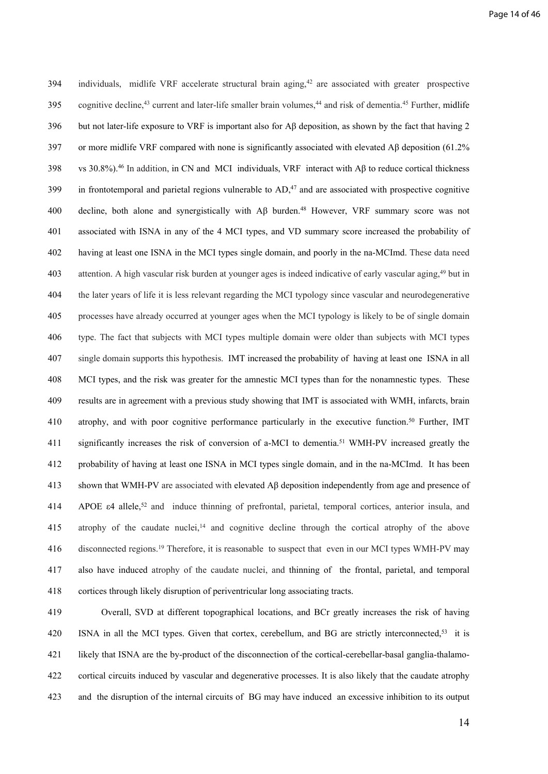394 individuals, midlife VRF accelerate structural brain aging,<sup>42</sup> are associated with greater prospective 395 cognitive decline,<sup>43</sup> current and later-life smaller brain volumes,<sup>44</sup> and risk of dementia.<sup>45</sup> Further, midlife 396 but not later-life exposure to VRF is important also for Aβ deposition, as shown by the fact that having 2 397 or more midlife VRF compared with none is significantly associated with elevated A $\beta$  deposition (61.2%) 398 vs 30.8%).<sup>46</sup> In addition, in CN and MCI individuals, VRF interact with Aβ to reduce cortical thickness  $399$  in frontotemporal and parietal regions vulnerable to  $AD<sub>1</sub><sup>47</sup>$  and are associated with prospective cognitive 400 decline, both alone and synergistically with Aβ burden.<sup>48</sup> However, VRF summary score was not 401 associated with ISNA in any of the 4 MCI types, and VD summary score increased the probability of 402 having at least one ISNA in the MCI types single domain, and poorly in the na-MCImd. These data need 403 attention. A high vascular risk burden at younger ages is indeed indicative of early vascular aging,<sup>49</sup> but in 404 the later years of life it is less relevant regarding the MCI typology since vascular and neurodegenerative 405 processes have already occurred at younger ages when the MCI typology is likely to be of single domain 406 type. The fact that subjects with MCI types multiple domain were older than subjects with MCI types 407 single domain supports this hypothesis. IMT increased the probability of having at least one ISNA in all 408 MCI types, and the risk was greater for the amnestic MCI types than for the nonamnestic types. These 409 results are in agreement with a previous study showing that IMT is associated with WMH, infarcts, brain 410 atrophy, and with poor cognitive performance particularly in the executive function.<sup>50</sup> Further, IMT 411 significantly increases the risk of conversion of a-MCI to dementia.<sup>51</sup> WMH-PV increased greatly the 412 probability of having at least one ISNA in MCI types single domain, and in the na-MCImd. It has been 413 shown that WMH-PV are associated with elevated Aβ deposition independently from age and presence of 414 APOE  $\varepsilon$ 4 allele,<sup>52</sup> and induce thinning of prefrontal, parietal, temporal cortices, anterior insula, and 415 atrophy of the caudate nuclei,<sup>14</sup> and cognitive decline through the cortical atrophy of the above 416 disconnected regions.<sup>19</sup> Therefore, it is reasonable to suspect that even in our MCI types WMH-PV may 417 also have induced atrophy of the caudate nuclei, and thinning of the frontal, parietal, and temporal 418 cortices through likely disruption of periventricular long associating tracts.

419 Overall, SVD at different topographical locations, and BCr greatly increases the risk of having 420 ISNA in all the MCI types. Given that cortex, cerebellum, and BG are strictly interconnected,<sup>53</sup> it is 421 likely that ISNA are the by-product of the disconnection of the cortical-cerebellar-basal ganglia-thalamo-422 cortical circuits induced by vascular and degenerative processes. It is also likely that the caudate atrophy 423 and the disruption of the internal circuits of BG may have induced an excessive inhibition to its output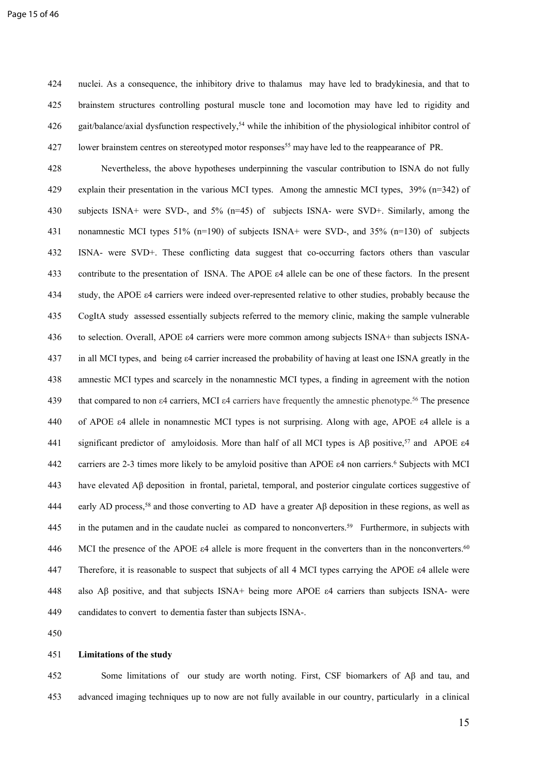424 nuclei. As a consequence, the inhibitory drive to thalamus may have led to bradykinesia, and that to 425 brainstem structures controlling postural muscle tone and locomotion may have led to rigidity and 426 gait/balance/axial dysfunction respectively,<sup>54</sup> while the inhibition of the physiological inhibitor control of 427 lower brainstem centres on stereotyped motor responses<sup>55</sup> may have led to the reappearance of PR.

428 Nevertheless, the above hypotheses underpinning the vascular contribution to ISNA do not fully 429 explain their presentation in the various MCI types. Among the amnestic MCI types, 39% (n=342) of 430 subjects ISNA+ were SVD-, and 5% (n=45) of subjects ISNA- were SVD+. Similarly, among the 431 nonamnestic MCI types 51% (n=190) of subjects ISNA+ were SVD-, and 35% (n=130) of subjects 432 ISNA- were SVD+. These conflicting data suggest that co-occurring factors others than vascular 433 contribute to the presentation of ISNA. The APOE ε4 allele can be one of these factors. In the present 434 study, the APOE ε4 carriers were indeed over-represented relative to other studies, probably because the 435 CogItA study assessed essentially subjects referred to the memory clinic, making the sample vulnerable 436 to selection. Overall, APOE ε4 carriers were more common among subjects ISNA+ than subjects ISNA-437 in all MCI types, and being ε4 carrier increased the probability of having at least one ISNA greatly in the 438 amnestic MCI types and scarcely in the nonamnestic MCI types, a finding in agreement with the notion 439 that compared to non ε4 carriers, MCI ε4 carriers have frequently the amnestic phenotype.<sup>56</sup> The presence 440 of APOE ε4 allele in nonamnestic MCI types is not surprising. Along with age, APOE ε4 allele is a 441 significant predictor of amyloidosis. More than half of all MCI types is Aβ positive,<sup>57</sup> and APOE ε4 442 carriers are 2-3 times more likely to be amyloid positive than APOE  $\varepsilon$ 4 non carriers.<sup>6</sup> Subjects with MCI 443 have elevated Aβ deposition in frontal, parietal, temporal, and posterior cingulate cortices suggestive of 444 early AD process,<sup>58</sup> and those converting to AD have a greater Aβ deposition in these regions, as well as 445 in the putamen and in the caudate nuclei as compared to nonconverters.<sup>59</sup> Furthermore, in subjects with 446 MCI the presence of the APOE  $\varepsilon$ 4 allele is more frequent in the converters than in the nonconverters.<sup>60</sup> 447 Therefore, it is reasonable to suspect that subjects of all 4 MCI types carrying the APOE ε4 allele were 448 also Aβ positive, and that subjects ISNA+ being more APOE ε4 carriers than subjects ISNA- were 449 candidates to convert to dementia faster than subjects ISNA-.

450

#### 451 **Limitations of the study**

452 Some limitations of our study are worth noting. First, CSF biomarkers of Aβ and tau, and 453 advanced imaging techniques up to now are not fully available in our country, particularly in a clinical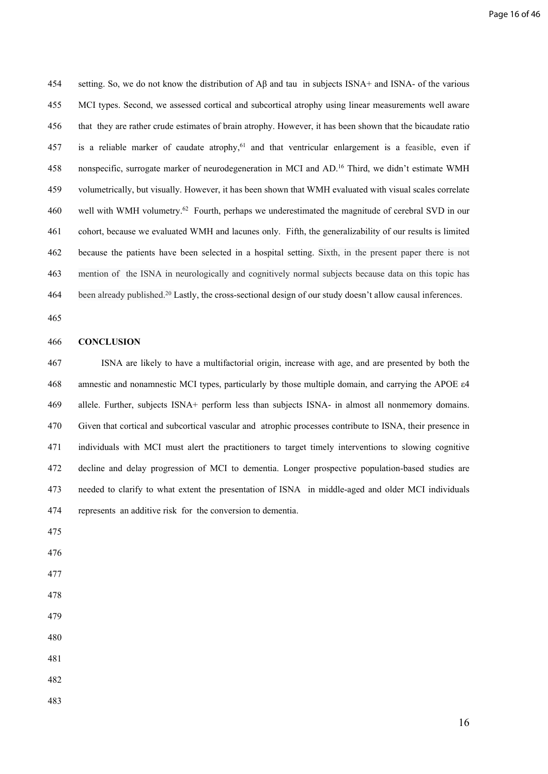454 setting. So, we do not know the distribution of Aβ and tau in subjects ISNA+ and ISNA- of the various 455 MCI types. Second, we assessed cortical and subcortical atrophy using linear measurements well aware 456 that they are rather crude estimates of brain atrophy. However, it has been shown that the bicaudate ratio 457 is a reliable marker of caudate atrophy,<sup>61</sup> and that ventricular enlargement is a feasible, even if 458 nonspecific, surrogate marker of neurodegeneration in MCI and AD.<sup>16</sup> Third, we didn't estimate WMH 459 volumetrically, but visually. However, it has been shown that WMH evaluated with visual scales correlate 460 well with WMH volumetry.<sup>62</sup> Fourth, perhaps we underestimated the magnitude of cerebral SVD in our 461 cohort, because we evaluated WMH and lacunes only. Fifth, the generalizability of our results is limited 462 because the patients have been selected in a hospital setting. Sixth, in the present paper there is not 463 mention of the ISNA in neurologically and cognitively normal subjects because data on this topic has 464 been already published.<sup>20</sup> Lastly, the cross-sectional design of our study doesn't allow causal inferences.

465

#### 466 **CONCLUSION**

467ISNA are likely to have a multifactorial origin, increase with age, and are presented by both the 468 amnestic and nonamnestic MCI types, particularly by those multiple domain, and carrying the APOE ε4 469 allele. Further, subjects ISNA+ perform less than subjects ISNA- in almost all nonmemory domains. 470 Given that cortical and subcortical vascular and atrophic processes contribute to ISNA, their presence in 471 individuals with MCI must alert the practitioners to target timely interventions to slowing cognitive 472 decline and delay progression of MCI to dementia. Longer prospective population-based studies are 473 needed to clarify to what extent the presentation of ISNA in middle-aged and older MCI individuals 474 represents an additive risk for the conversion to dementia.

- 475
- 476
- 477
- 478
- 479
- 480
- 481
- 482
- 483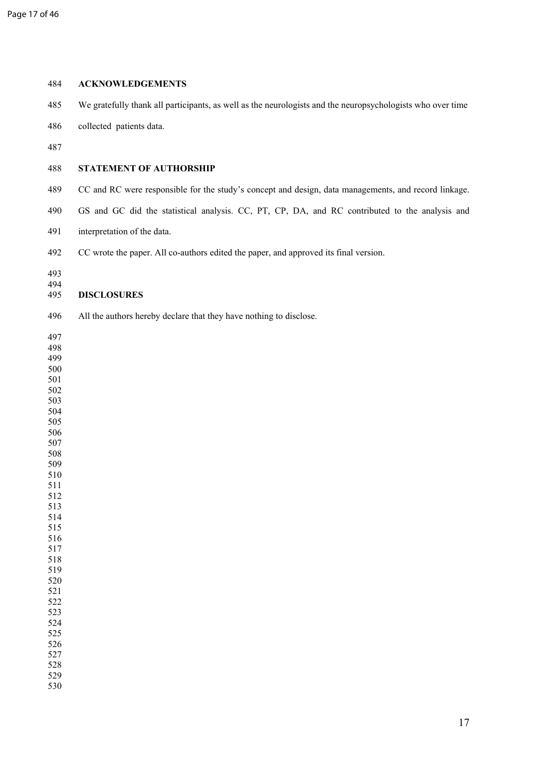| 484                                                                                                                                                                                                                                        | <b>ACKNOWLEDGEMENTS</b>                                                                                    |
|--------------------------------------------------------------------------------------------------------------------------------------------------------------------------------------------------------------------------------------------|------------------------------------------------------------------------------------------------------------|
| 485                                                                                                                                                                                                                                        | We gratefully thank all participants, as well as the neurologists and the neuropsychologists who over time |
| 486                                                                                                                                                                                                                                        | collected patients data.                                                                                   |
| 487                                                                                                                                                                                                                                        |                                                                                                            |
| 488                                                                                                                                                                                                                                        | STATEMENT OF AUTHORSHIP                                                                                    |
| 489                                                                                                                                                                                                                                        | CC and RC were responsible for the study's concept and design, data managements, and record linkage.       |
| 490                                                                                                                                                                                                                                        | GS and GC did the statistical analysis. CC, PT, CP, DA, and RC contributed to the analysis and             |
| 491                                                                                                                                                                                                                                        | interpretation of the data.                                                                                |
| 492                                                                                                                                                                                                                                        | CC wrote the paper. All co-authors edited the paper, and approved its final version.                       |
| 493<br>494                                                                                                                                                                                                                                 |                                                                                                            |
| 495                                                                                                                                                                                                                                        | <b>DISCLOSURES</b>                                                                                         |
| 496                                                                                                                                                                                                                                        | All the authors hereby declare that they have nothing to disclose.                                         |
| 497<br>498<br>499<br>500<br>501<br>502<br>503<br>504<br>505<br>506<br>507<br>508<br>509<br>510<br>511<br>512<br>513<br>514<br>515<br>516<br>517<br>518<br>519<br>520<br>521<br>522<br>523<br>524<br>525<br>526<br>527<br>528<br>529<br>530 |                                                                                                            |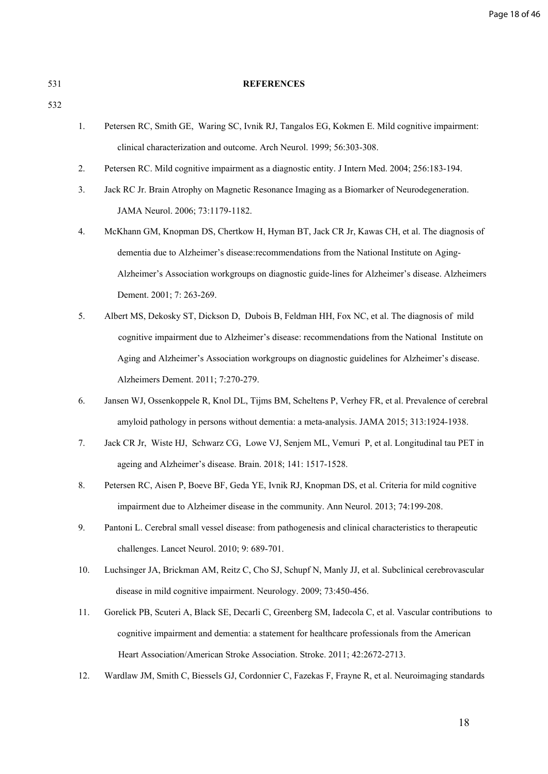Page 18 of 46

532

#### 531 **REFERENCES**

- 1. Petersen RC, Smith GE, Waring SC, Ivnik RJ, Tangalos EG, Kokmen E. Mild cognitive impairment: clinical characterization and outcome. Arch Neurol. 1999; 56:303-308.
- 2. Petersen RC. Mild cognitive impairment as a diagnostic entity. J Intern Med. 2004; 256:183-194.
- 3. Jack RC Jr. Brain Atrophy on Magnetic Resonance Imaging as a Biomarker of Neurodegeneration. JAMA Neurol. 2006; 73:1179-1182.
- 4. McKhann GM, Knopman DS, Chertkow H, Hyman BT, Jack CR Jr, Kawas CH, et al. The diagnosis of dementia due to Alzheimer's disease:recommendations from the National Institute on Aging-Alzheimer's Association workgroups on diagnostic guide-lines for Alzheimer's disease. Alzheimers Dement. 2001; 7: 263-269.
- 5. Albert MS, Dekosky ST, Dickson D, [Dubois B](https://www.ncbi.nlm.nih.gov/pubmed/?term=Dubois%20B%5BAuthor%5D&cauthor=true&cauthor_uid=21514249), [Feldman HH](https://www.ncbi.nlm.nih.gov/pubmed/?term=Feldman%20HH%5BAuthor%5D&cauthor=true&cauthor_uid=21514249), [Fox NC](https://www.ncbi.nlm.nih.gov/pubmed/?term=Fox%20NC%5BAuthor%5D&cauthor=true&cauthor_uid=21514249), et al. The diagnosis of mild cognitive impairment due to Alzheimer's disease: recommendations from the National Institute on Aging and Alzheimer's Association workgroups on diagnostic guidelines for Alzheimer's disease. Alzheimers Dement. 2011; 7:270-279.
- 6. Jansen WJ, Ossenkoppele R, Knol DL, Tijms BM, Scheltens P, Verhey FR, et al. Prevalence of cerebral amyloid pathology in persons without dementia: a meta-analysis. JAMA 2015; 313:1924-1938.
- 7. [Jack CR Jr,](javascript:;) [Wiste](javascript:;) HJ, [Schwarz](javascript:;) CG, [Lowe](javascript:;) VJ, [Senjem](javascript:;) ML, [Vemuri](javascript:;) P, et al. Longitudinal tau PET in ageing and Alzheimer's disease. Brain. 2018; 141: 1517-1528.
- 8. Petersen RC, Aisen P, Boeve BF, Geda YE, Ivnik RJ, Knopman DS, et al. Criteria for mild cognitive impairment due to Alzheimer disease in the community. Ann Neurol. 2013; 74:199-208.
- 9. [Pantoni L.](http://www.ncbi.nlm.nih.gov/pubmed/?term=Pantoni%20L%5BAuthor%5D&cauthor=true&cauthor_uid=20610345) Cerebral small vessel disease: from pathogenesis and clinical characteristics to therapeutic challenges. [Lancet Neurol](http://www.ncbi.nlm.nih.gov/pubmed/20610345). 2010; 9: 689-701.
- 10. Luchsinger JA, Brickman AM, Reitz C, Cho SJ, Schupf N, Manly JJ, et al. Subclinical cerebrovascular disease in mild cognitive impairment. Neurology. 2009; 73:450-456.
- 11. Gorelick PB, Scuteri A, Black SE, [Decarli C](https://www.ncbi.nlm.nih.gov/pubmed/?term=Decarli%20C%5BAuthor%5D&cauthor=true&cauthor_uid=21778438), [Greenberg SM](https://www.ncbi.nlm.nih.gov/pubmed/?term=Greenberg%20SM%5BAuthor%5D&cauthor=true&cauthor_uid=21778438), [Iadecola C](https://www.ncbi.nlm.nih.gov/pubmed/?term=Iadecola%20C%5BAuthor%5D&cauthor=true&cauthor_uid=21778438), et al. Vascular contributions to cognitive impairment and dementia: a statement for healthcare professionals from the American Heart Association/American Stroke Association. Stroke. 2011; 42:2672-2713.
- 12. Wardlaw JM, Smith C, Biessels GJ, Cordonnier C, Fazekas F, Frayne R, et al. Neuroimaging standards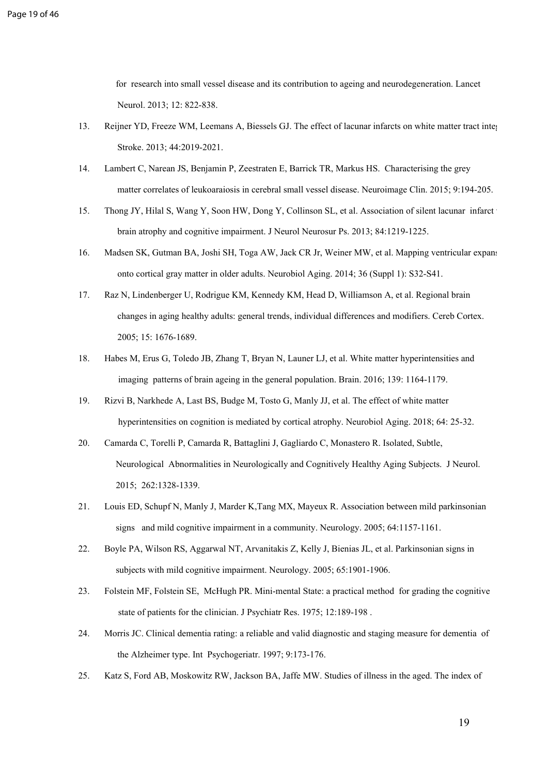for research into small vessel disease and its contribution to ageing and neurodegeneration. Lancet Neurol. 2013; 12: 822-838.

- 13. Reijner YD, Freeze WM, Leemans A, Biessels GJ. The effect of lacunar infarcts on white matter tract integrity. Stroke. 2013; 44:2019-2021.
- 14. Lambert C, Narean JS, Benjamin P, Zeestraten E, Barrick TR, Markus HS. Characterising the grey matter correlates of leukoaraiosis in cerebral small vessel disease. Neuroimage Clin. 2015; 9:194-205.
- 15. [Thong JY](http://www.ncbi.nlm.nih.gov/pubmed/?term=Thong%20JY%5BAuthor%5D&cauthor=true&cauthor_uid=23933740), [Hilal S](http://www.ncbi.nlm.nih.gov/pubmed/?term=Hilal%20S%5BAuthor%5D&cauthor=true&cauthor_uid=23933740), [Wang Y,](http://www.ncbi.nlm.nih.gov/pubmed/?term=Wang%20Y%5BAuthor%5D&cauthor=true&cauthor_uid=23933740) [Soon HW](http://www.ncbi.nlm.nih.gov/pubmed/?term=Soon%20HW%5BAuthor%5D&cauthor=true&cauthor_uid=23933740), [Dong Y](http://www.ncbi.nlm.nih.gov/pubmed/?term=Dong%20Y%5BAuthor%5D&cauthor=true&cauthor_uid=23933740), [Collinson SL,](http://www.ncbi.nlm.nih.gov/pubmed/?term=Collinson%20SL%5BAuthor%5D&cauthor=true&cauthor_uid=23933740) et al. Association of silent lacunar infarct with brain atrophy and cognitive impairment. J Neurol Neurosur Ps. 2013; 84:1219-1225.
- 16. Madsen SK, Gutman BA, Joshi SH, Toga AW, Jack CR Jr, Weiner MW, et al. Mapping ventricular expansion onto cortical gray matter in older adults. Neurobiol Aging. 2014; 36 (Suppl 1): S32-S41.
- 17. [Raz N,](http://www.ncbi.nlm.nih.gov/pubmed/?term=Raz%20N%5BAuthor%5D&cauthor=true&cauthor_uid=15703252) [Lindenberger U](http://www.ncbi.nlm.nih.gov/pubmed/?term=Lindenberger%20U%5BAuthor%5D&cauthor=true&cauthor_uid=15703252), [Rodrigue KM](http://www.ncbi.nlm.nih.gov/pubmed/?term=Rodrigue%20KM%5BAuthor%5D&cauthor=true&cauthor_uid=15703252), [Kennedy KM,](http://www.ncbi.nlm.nih.gov/pubmed/?term=Kennedy%20KM%5BAuthor%5D&cauthor=true&cauthor_uid=15703252) [Head D,](http://www.ncbi.nlm.nih.gov/pubmed/?term=Head%20D%5BAuthor%5D&cauthor=true&cauthor_uid=15703252) [Williamson A,](http://www.ncbi.nlm.nih.gov/pubmed/?term=Williamson%20A%5BAuthor%5D&cauthor=true&cauthor_uid=15703252) et al. Regional brain changes in aging healthy adults: general trends, individual differences and modifiers. Cereb [Cortex.](http://www.ncbi.nlm.nih.gov/pubmed/15703252) 2005; 15: 1676-1689.
- 18. Habes M, Erus G, Toledo JB, Zhang T, Bryan N, Launer LJ, et al. White matter hyperintensities and imaging patterns of brain ageing in the general population. Brain. 2016; 139: 1164-1179.
- 19. Rizvi B, Narkhede A, Last BS, Budge M, Tosto G, Manly JJ, et al. The effect of white matter hyperintensities on cognition is mediated by cortical atrophy. Neurobiol Aging. 2018; 64: 25-32.
- 20. Camarda C, Torelli P, Camarda R, Battaglini J, Gagliardo C, Monastero R. Isolated, Subtle, Neurological Abnormalities in Neurologically and Cognitively Healthy Aging Subjects. J Neurol. 2015; 262:1328-1339.
- 21. Louis ED, Schupf N, Manly J, Marder K,Tang MX, Mayeux R. Association between mild parkinsonian signs and mild cognitive impairment in a community. Neurology. 2005; 64:1157-1161.
- 22. Boyle PA, Wilson RS, Aggarwal NT, Arvanitakis Z, Kelly J, Bienias JL, et al. Parkinsonian signs in subjects with mild cognitive impairment. Neurology. 2005; 65:1901-1906.
- 23. Folstein MF, Folstein SE, McHugh PR. Mini-mental State: a practical method for grading the cognitive state of patients for the clinician. J Psychiatr Res. 1975; 12:189-198 .
- 24. Morris JC. Clinical dementia rating: a reliable and valid diagnostic and staging measure for dementia of the Alzheimer type. Int Psychogeriatr. 1997; 9:173-176.
- 25. Katz S, Ford AB, Moskowitz RW, Jackson BA, Jaffe MW. Studies of illness in the aged. The index of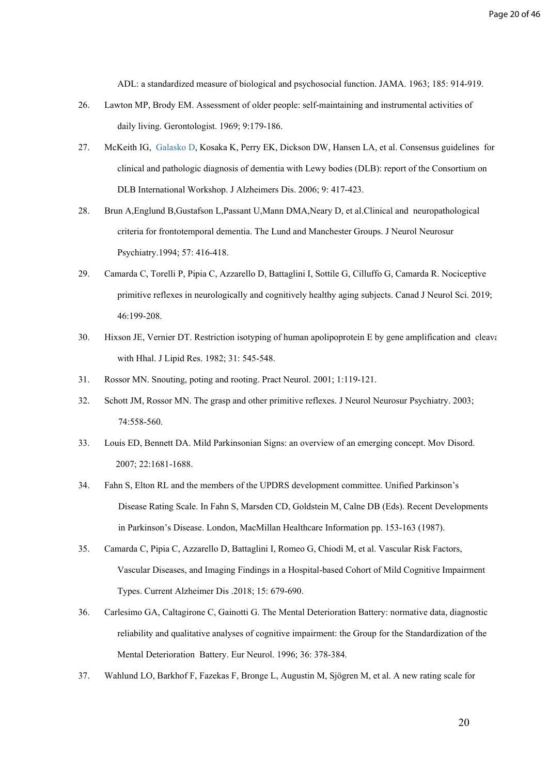ADL: a standardized measure of biological and psychosocial function. JAMA. 1963; 185: 914-919.

- 26. Lawton MP, Brody EM. Assessment of older people: self-maintaining and instrumental activities of daily living. Gerontologist. 1969; 9:179-186.
- 27. McKeith IG, [Galasko D,](https://www.ncbi.nlm.nih.gov/pubmed/?term=Galasko%20D%5BAuthor%5D&cauthor=true&cauthor_uid=8909416) [Kosaka K,](https://www.ncbi.nlm.nih.gov/pubmed/?term=Kosaka%20K%5BAuthor%5D&cauthor=true&cauthor_uid=8909416) [Perry EK](https://www.ncbi.nlm.nih.gov/pubmed/?term=Perry%20EK%5BAuthor%5D&cauthor=true&cauthor_uid=8909416), [Dickson DW,](https://www.ncbi.nlm.nih.gov/pubmed/?term=Dickson%20DW%5BAuthor%5D&cauthor=true&cauthor_uid=8909416) [Hansen LA,](https://www.ncbi.nlm.nih.gov/pubmed/?term=Hansen%20LA%5BAuthor%5D&cauthor=true&cauthor_uid=8909416) et al. Consensus guidelines for clinical and pathologic diagnosis of dementia with Lewy bodies (DLB): report of the Consortium on DLB International Workshop. J Alzheimers Dis. 2006; 9: 417-423.
- 28. Brun A,Englund B,Gustafson L,Passant U,Mann DMA,Neary D, et al.Clinical and neuropathological criteria for frontotemporal dementia. The Lund and Manchester Groups. J Neurol Neurosur Psychiatry.1994; 57: 416-418.
- 29. Camarda C, Torelli P, Pipia C, Azzarello D, Battaglini I, Sottile G, Cilluffo G, Camarda R. Nociceptive primitive reflexes in neurologically and cognitively healthy aging subjects. Canad J Neurol Sci. 2019; 46:199-208.
- 30. Hixson JE, Vernier DT. Restriction isotyping of human apolipoprotein E by gene amplification and cleavage with Hhal. J Lipid Res. 1982; 31: 545-548.
- 31. Rossor MN. Snouting, poting and rooting. Pract Neurol. 2001; 1:119-121.
- 32. Schott JM, Rossor MN. The grasp and other primitive reflexes. J Neurol Neurosur Psychiatry. 2003; 74:558-560.
- 33. Louis ED, Bennett DA. Mild Parkinsonian Signs: an overview of an emerging concept. Mov Disord. 2007; 22:1681-1688.
- 34. Fahn S, Elton RL and the members of the UPDRS development committee. Unified Parkinson's Disease Rating Scale. In Fahn S, Marsden CD, Goldstein M, Calne DB (Eds). Recent Developments in Parkinson's Disease. London, MacMillan Healthcare Information pp. 153-163 (1987).
- 35. Camarda C, Pipia C, Azzarello D, [Battaglini I](https://www.ncbi.nlm.nih.gov/pubmed/?term=Battaglini%20I%5BAuthor%5D&cauthor=true&cauthor_uid=25825125), Romeo G, Chiodi M, et al. Vascular Risk Factors, Vascular Diseases, and Imaging Findings in a Hospital-based Cohort of Mild Cognitive Impairment Types. Current Alzheimer Dis .2018; 15: 679-690.
- 36. Carlesimo GA, Caltagirone C, Gainotti G. The Mental Deterioration Battery: normative data, diagnostic reliability and qualitative analyses of cognitive impairment: the Group for the Standardization of the Mental Deterioration Battery. Eur Neurol. 1996; 36: 378-384.
- 37. Wahlund LO, Barkhof F, Fazekas F, Bronge L, Augustin M, Sjögren M, et al. A new rating scale for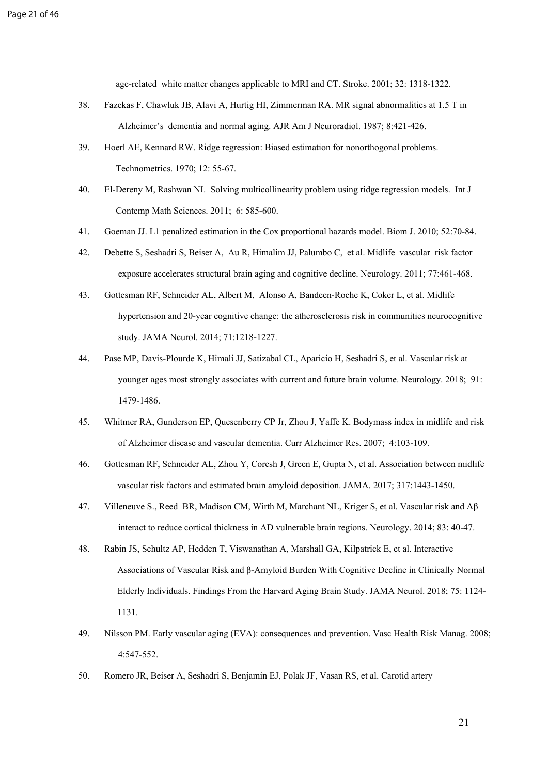age-related white matter changes applicable to MRI and CT. Stroke. 2001; 32: 1318-1322.

- 38. Fazekas F, Chawluk JB, Alavi A, Hurtig HI, Zimmerman RA. MR signal abnormalities at 1.5 T in Alzheimer's dementia and normal aging. [AJR Am J Neuroradiol.](https://www.ncbi.nlm.nih.gov/pubmed/3496763) 1987; 8:421-426.
- 39. Hoerl AE, Kennard RW. Ridge regression: Biased estimation for nonorthogonal problems. Technometrics. 1970; 12: 55-67.
- 40. El-Dereny M, Rashwan NI. Solving multicollinearity problem using ridge regression models. Int J Contemp Math Sciences. 2011; 6: 585-600.
- 41. Goeman JJ. L1 penalized estimation in the Cox proportional hazards model. [Biom J.](https://www.ncbi.nlm.nih.gov/pubmed/19937997) 2010; 52:70-84.
- 42. Debette S, Seshadri S, Beiser A, [Au](https://www.ncbi.nlm.nih.gov/pubmed/?term=Au%20R%5BAuthor%5D&cauthor=true&cauthor_uid=21810696) R, [Himalim](https://www.ncbi.nlm.nih.gov/pubmed/?term=Himali%20J%5BAuthor%5D&cauthor=true&cauthor_uid=21810696) JJ, [Palumbo](https://www.ncbi.nlm.nih.gov/pubmed/?term=Palumbo%20C%5BAuthor%5D&cauthor=true&cauthor_uid=21810696) C, et al. Midlife vascular risk factor exposure accelerates structural brain aging and cognitive decline. Neurology. 2011; 77:461-468.
- 43. Gottesman RF, Schneider AL, Albert M, [Alonso A](https://www.ncbi.nlm.nih.gov/pubmed/?term=Alonso%20A%5BAuthor%5D&cauthor=true&cauthor_uid=25090106), [Bandeen-Roche K,](https://www.ncbi.nlm.nih.gov/pubmed/?term=Bandeen-Roche%20K%5BAuthor%5D&cauthor=true&cauthor_uid=25090106) [Coker L,](https://www.ncbi.nlm.nih.gov/pubmed/?term=Coker%20L%5BAuthor%5D&cauthor=true&cauthor_uid=25090106) et al. Midlife hypertension and 20-year cognitive change: the atherosclerosis risk in communities neurocognitive study. JAMA Neurol. 2014; 71:1218-1227.
- 44. Pase MP, Davis-Plourde K, Himali JJ, Satizabal CL, Aparicio H, Seshadri S, et al. Vascular risk at younger ages most strongly associates with current and future brain volume. Neurology. 2018; 91: 1479-1486.
- 45. Whitmer RA, Gunderson EP, Quesenberry CP Jr, Zhou J, Yaffe K. Bodymass index in midlife and risk of Alzheimer disease and vascular dementia. Curr Alzheimer Res. 2007; 4:103-109.
- 46. Gottesman RF, Schneider AL, Zhou Y, Coresh J, Green E, Gupta N, et al. Association between midlife vascular risk factors and estimated brain amyloid deposition. JAMA. 2017; 317:1443-1450.
- 47. Villeneuve S., Reed BR, Madison CM, Wirth M, Marchant NL, Kriger S, et al. Vascular risk and Aβ interact to reduce cortical thickness in AD vulnerable brain regions. Neurology. 2014; 83: 40-47.
- 48. [Rabin JS](https://www.ncbi.nlm.nih.gov/pubmed/?term=Rabin%20JS%5BAuthor%5D&cauthor=true&cauthor_uid=29799986), [Schultz AP,](https://www.ncbi.nlm.nih.gov/pubmed/?term=Schultz%20AP%5BAuthor%5D&cauthor=true&cauthor_uid=29799986) [Hedden T](https://www.ncbi.nlm.nih.gov/pubmed/?term=Hedden%20T%5BAuthor%5D&cauthor=true&cauthor_uid=29799986), [Viswanathan A](https://www.ncbi.nlm.nih.gov/pubmed/?term=Viswanathan%20A%5BAuthor%5D&cauthor=true&cauthor_uid=29799986), [Marshall GA,](https://www.ncbi.nlm.nih.gov/pubmed/?term=Marshall%20GA%5BAuthor%5D&cauthor=true&cauthor_uid=29799986) [Kilpatrick E,](https://www.ncbi.nlm.nih.gov/pubmed/?term=Kilpatrick%20E%5BAuthor%5D&cauthor=true&cauthor_uid=29799986) et al. Interactive Associations of Vascular Risk and β-Amyloid Burden With Cognitive Decline in Clinically Normal Elderly Individuals. Findings From the Harvard Aging Brain Study. JAMA Neurol. 2018; 75: 1124- 1131.
- 49. Nilsson PM. Early vascular aging (EVA): consequences and prevention. Vasc Health Risk Manag. 2008; 4:547-552.
- 50. Romero JR, Beiser A, Seshadri S, Benjamin EJ, Polak JF, Vasan RS, et al. Carotid artery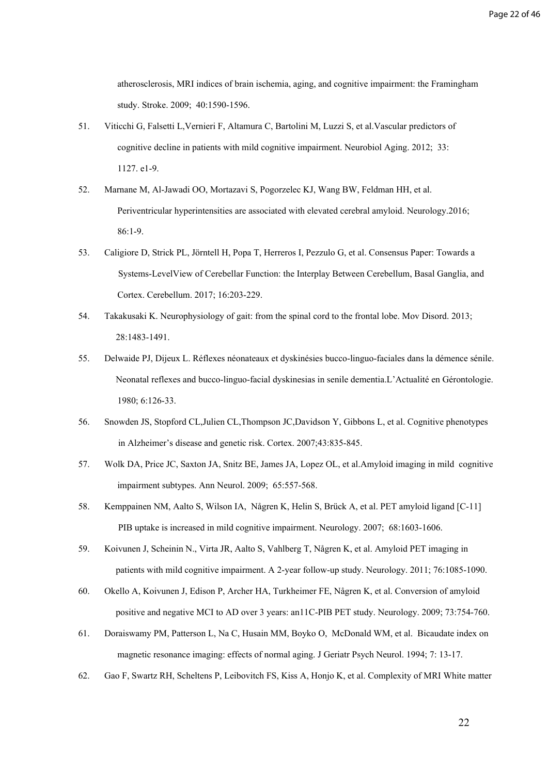atherosclerosis, MRI indices of brain ischemia, aging, and cognitive impairment: the Framingham study. Stroke. 2009; 40:1590-1596.

- 51. Viticchi G, Falsetti L,Vernieri F, Altamura C, Bartolini M, Luzzi S, et al.Vascular predictors of cognitive decline in patients with mild cognitive impairment. Neurobiol Aging. 2012; 33: 1127. e1-9.
- 52. Marnane M, Al-Jawadi OO, Mortazavi S, [Pogorzelec KJ,](https://www.ncbi.nlm.nih.gov/pubmed/?term=Pogorzelec%20KJ%5BAuthor%5D&cauthor=true&cauthor_uid=26747881) [Wang BW](https://www.ncbi.nlm.nih.gov/pubmed/?term=Wang%20BW%5BAuthor%5D&cauthor=true&cauthor_uid=26747881), [Feldman HH,](https://www.ncbi.nlm.nih.gov/pubmed/?term=Feldman%20HH%5BAuthor%5D&cauthor=true&cauthor_uid=26747881) et al. Periventricular hyperintensities are associated with elevated cerebral amyloid. Neurology.2016; 86:1-9.
- 53. Caligiore D, Strick PL, Jörntell H, Popa T, Herreros I, Pezzulo G, et al. Consensus Paper: Towards a Systems-LevelView of Cerebellar Function: the Interplay Between Cerebellum, Basal Ganglia, and Cortex. Cerebellum. 2017; 16:203-229.
- 54. Takakusaki K. Neurophysiology of gait: from the spinal cord to the frontal lobe. Mov Disord. 2013; 28:1483-1491.
- 55. Delwaide PJ, Dijeux L. Réflexes néonateaux et dyskinésies bucco-linguo-faciales dans la démence sénile. Neonatal reflexes and bucco-linguo-facial dyskinesias in senile dementia.L'Actualité en Gérontologie. 1980; 6:126-33.
- 56. Snowden JS, Stopford CL,Julien CL[,Thompson JC](https://www.ncbi.nlm.nih.gov/pubmed/?term=Thompson%20JC%5BAuthor%5D&cauthor=true&cauthor_uid=17941342)[,Davidson Y](https://www.ncbi.nlm.nih.gov/pubmed/?term=Davidson%20Y%5BAuthor%5D&cauthor=true&cauthor_uid=17941342), [Gibbons L,](https://www.ncbi.nlm.nih.gov/pubmed/?term=Gibbons%20L%5BAuthor%5D&cauthor=true&cauthor_uid=17941342) et al. Cognitive phenotypes in Alzheimer's disease and genetic risk. Cortex. 2007;43:835-845.
- 57. Wolk DA, Price JC, Saxton JA, Snitz BE, James JA, Lopez OL, et al.Amyloid imaging in mild cognitive impairment subtypes. Ann Neurol. 2009; 65:557-568.
- 58. Kemppainen NM, Aalto S, Wilson IA, Någren K, Helin S, Brück A, et al. PET amyloid ligand [C-11] PIB uptake is increased in mild cognitive impairment. Neurology. 2007; 68:1603-1606.
- 59. Koivunen J, Scheinin N., Virta JR, Aalto S, Vahlberg T, Någren K, et al. Amyloid PET imaging in patients with mild cognitive impairment. A 2-year follow-up study. Neurology. 2011; 76:1085-1090.
- 60. Okello A, Koivunen J, Edison P, Archer HA, Turkheimer FE, Någren K, et al. Conversion of amyloid positive and negative MCI to AD over 3 years: an11C-PIB PET study. Neurology. 2009; 73:754-760.
- 61. Doraiswamy PM, Patterson L, Na C, Husain MM, Boyko O, McDonald WM, et al. Bicaudate index on magnetic resonance imaging: effects of normal aging. J Geriatr Psych Neurol. 1994; 7: 13-17.
- 62. Gao F, Swartz RH, Scheltens P, Leibovitch FS, Kiss A, Honjo K, et al. Complexity of MRI White matter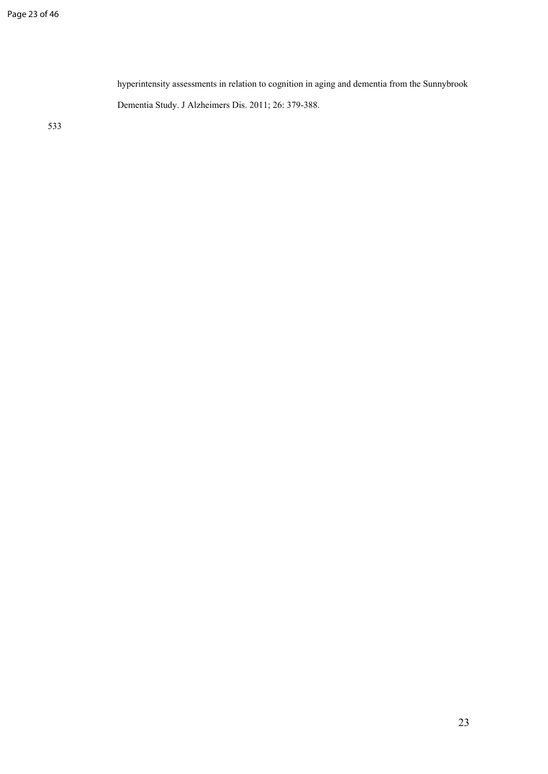hyperintensity assessments in relation to cognition in aging and dementia from the Sunnybrook Dementia Study. J Alzheimers Dis. 2011; 26: 379-388.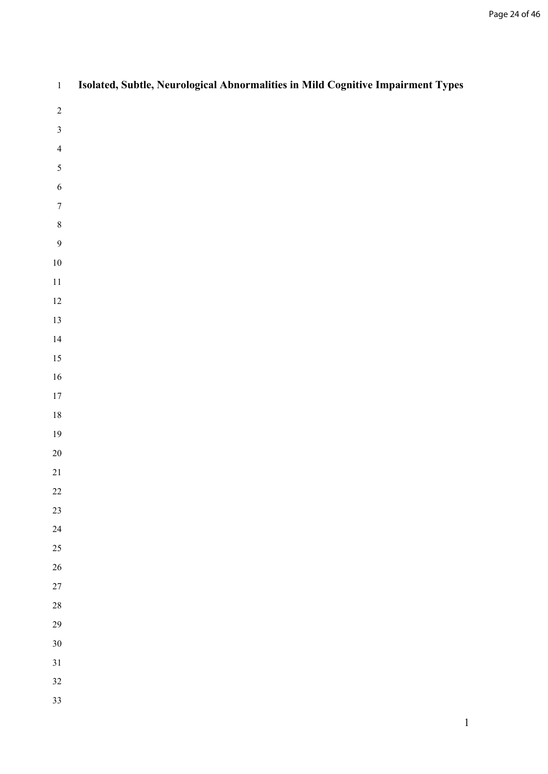| $\,1$            | Isolated, Subtle, Neurological Abnormalities in Mild Cognitive Impairment Types |
|------------------|---------------------------------------------------------------------------------|
| $\sqrt{2}$       |                                                                                 |
| $\mathfrak{Z}$   |                                                                                 |
| $\overline{4}$   |                                                                                 |
| 5                |                                                                                 |
| $\sqrt{6}$       |                                                                                 |
| $\boldsymbol{7}$ |                                                                                 |
| $\,8\,$          |                                                                                 |
| $\overline{9}$   |                                                                                 |
| $10\,$           |                                                                                 |
| $11\,$           |                                                                                 |
| $12\,$           |                                                                                 |
| 13               |                                                                                 |
| $14\,$           |                                                                                 |
| 15<br>$16\,$     |                                                                                 |
| $17\,$           |                                                                                 |
| $18\,$           |                                                                                 |
| $19\,$           |                                                                                 |
| $20\,$           |                                                                                 |
| $21\,$           |                                                                                 |
| $22\,$           |                                                                                 |
| 23               |                                                                                 |
| $24\,$           |                                                                                 |
| 25               |                                                                                 |
| $26\,$           |                                                                                 |
| $27\,$           |                                                                                 |
| $28\,$           |                                                                                 |
| 29               |                                                                                 |
| $30\,$           |                                                                                 |
| 31               |                                                                                 |
| $32\,$           |                                                                                 |
| 33               |                                                                                 |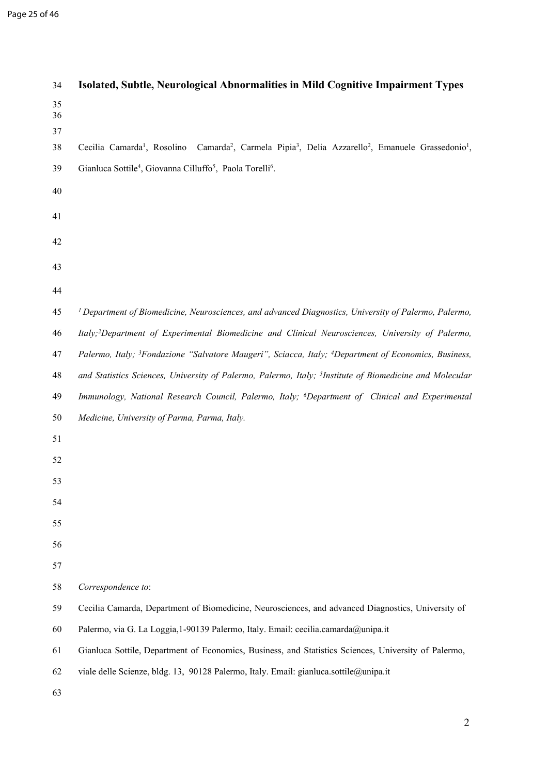| 34             | Isolated, Subtle, Neurological Abnormalities in Mild Cognitive Impairment Types                                                                                   |
|----------------|-------------------------------------------------------------------------------------------------------------------------------------------------------------------|
| 35<br>36<br>37 |                                                                                                                                                                   |
| 38             | Camarda <sup>2</sup> , Carmela Pipia <sup>3</sup> , Delia Azzarello <sup>2</sup> , Emanuele Grassedonio <sup>1</sup> ,<br>Cecilia Camarda <sup>1</sup> , Rosolino |
| 39             | Gianluca Sottile <sup>4</sup> , Giovanna Cilluffo <sup>5</sup> , Paola Torelli <sup>6</sup> .                                                                     |
| 40             |                                                                                                                                                                   |
| 41             |                                                                                                                                                                   |
| 42             |                                                                                                                                                                   |
| 43             |                                                                                                                                                                   |
| 44             |                                                                                                                                                                   |
| 45             | <sup>1</sup> Department of Biomedicine, Neurosciences, and advanced Diagnostics, University of Palermo, Palermo,                                                  |
| 46             | Italy; <sup>2</sup> Department of Experimental Biomedicine and Clinical Neurosciences, University of Palermo,                                                     |
| 47             | Palermo, Italy; <sup>3</sup> Fondazione "Salvatore Maugeri", Sciacca, Italy; <sup>4</sup> Department of Economics, Business,                                      |
| 48             | and Statistics Sciences, University of Palermo, Palermo, Italy; <sup>5</sup> Institute of Biomedicine and Molecular                                               |
| 49             | Immunology, National Research Council, Palermo, Italy; <sup>6</sup> Department of Clinical and Experimental                                                       |
| 50             | Medicine, University of Parma, Parma, Italy.                                                                                                                      |
| 51             |                                                                                                                                                                   |
| 52             |                                                                                                                                                                   |
| 53             |                                                                                                                                                                   |
| 54             |                                                                                                                                                                   |
| 55             |                                                                                                                                                                   |
| 56             |                                                                                                                                                                   |
| 57             |                                                                                                                                                                   |
| 58             | Correspondence to:                                                                                                                                                |
| 59             | Cecilia Camarda, Department of Biomedicine, Neurosciences, and advanced Diagnostics, University of                                                                |
| 60             | Palermo, via G. La Loggia, 1-90139 Palermo, Italy. Email: cecilia.camarda@unipa.it                                                                                |
| 61             | Gianluca Sottile, Department of Economics, Business, and Statistics Sciences, University of Palermo,                                                              |
| 62             | viale delle Scienze, bldg. 13, 90128 Palermo, Italy. Email: gianluca.sottile@unipa.it                                                                             |
| 63             |                                                                                                                                                                   |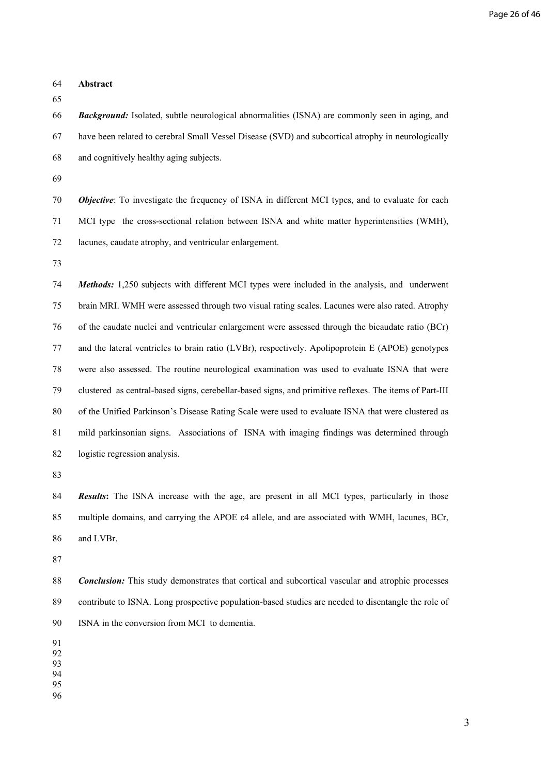| 64                         | Abstract                                                                                                   |
|----------------------------|------------------------------------------------------------------------------------------------------------|
| 65<br>66                   | <b>Background:</b> Isolated, subtle neurological abnormalities (ISNA) are commonly seen in aging, and      |
| 67                         | have been related to cerebral Small Vessel Disease (SVD) and subcortical atrophy in neurologically         |
| 68                         | and cognitively healthy aging subjects.                                                                    |
| 69                         |                                                                                                            |
| 70                         | <b>Objective:</b> To investigate the frequency of ISNA in different MCI types, and to evaluate for each    |
|                            |                                                                                                            |
| 71                         | MCI type the cross-sectional relation between ISNA and white matter hyperintensities (WMH),                |
| 72                         | lacunes, caudate atrophy, and ventricular enlargement.                                                     |
| 73                         |                                                                                                            |
| 74                         | Methods: 1,250 subjects with different MCI types were included in the analysis, and underwent              |
| 75                         | brain MRI. WMH were assessed through two visual rating scales. Lacunes were also rated. Atrophy            |
| 76                         | of the caudate nuclei and ventricular enlargement were assessed through the bicaudate ratio (BCr)          |
| 77                         | and the lateral ventricles to brain ratio (LVBr), respectively. Apolipoprotein E (APOE) genotypes          |
| 78                         | were also assessed. The routine neurological examination was used to evaluate ISNA that were               |
| 79                         | clustered as central-based signs, cerebellar-based signs, and primitive reflexes. The items of Part-III    |
| 80                         | of the Unified Parkinson's Disease Rating Scale were used to evaluate ISNA that were clustered as          |
| 81                         | mild parkinsonian signs. Associations of ISNA with imaging findings was determined through                 |
| 82                         | logistic regression analysis.                                                                              |
| 83                         |                                                                                                            |
| 84                         | <b>Results:</b> The ISNA increase with the age, are present in all MCI types, particularly in those        |
| 85                         | multiple domains, and carrying the APOE $\varepsilon$ 4 allele, and are associated with WMH, lacunes, BCr, |
| 86                         | and LVBr.                                                                                                  |
| 87                         |                                                                                                            |
| 88                         | <b>Conclusion:</b> This study demonstrates that cortical and subcortical vascular and atrophic processes   |
| 89                         | contribute to ISNA. Long prospective population-based studies are needed to disentangle the role of        |
| 90                         | ISNA in the conversion from MCI to dementia.                                                               |
| 91<br>92<br>93<br>94<br>95 |                                                                                                            |

96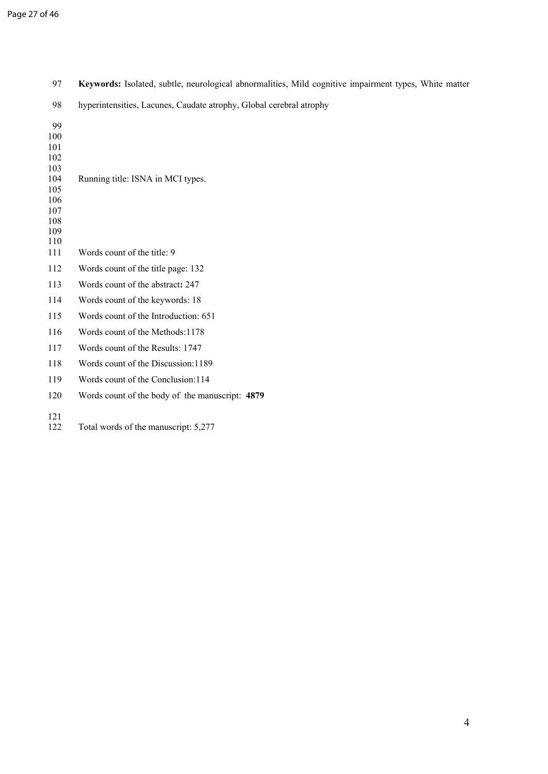| 97         | Keywords: Isolated, subtle, neurological abnormalities, Mild cognitive impairment types, White matter |
|------------|-------------------------------------------------------------------------------------------------------|
| 98         | hyperintensities, Lacunes, Caudate atrophy, Global cerebral atrophy                                   |
| 99         |                                                                                                       |
| 100        |                                                                                                       |
| 101        |                                                                                                       |
| 102<br>103 |                                                                                                       |
| 104        | Running title: ISNA in MCI types.                                                                     |
| 105        |                                                                                                       |
| 106        |                                                                                                       |
| 107        |                                                                                                       |
| 108        |                                                                                                       |
| 109<br>110 |                                                                                                       |
| 111        | Words count of the title: 9                                                                           |
| 112        | Words count of the title page: 132                                                                    |
| 113        | Words count of the abstract: 247                                                                      |
| 114        | Words count of the keywords: 18                                                                       |
| 115        | Words count of the Introduction: 651                                                                  |
| 116        | Words count of the Methods: 1178                                                                      |
| 117        | Words count of the Results: 1747                                                                      |
| 118        | Words count of the Discussion: 1189                                                                   |
| 119        | Words count of the Conclusion: 114                                                                    |
| 120        | Words count of the body of the manuscript: 4879                                                       |
| 121<br>122 | Total words of the manuscript: 5,277                                                                  |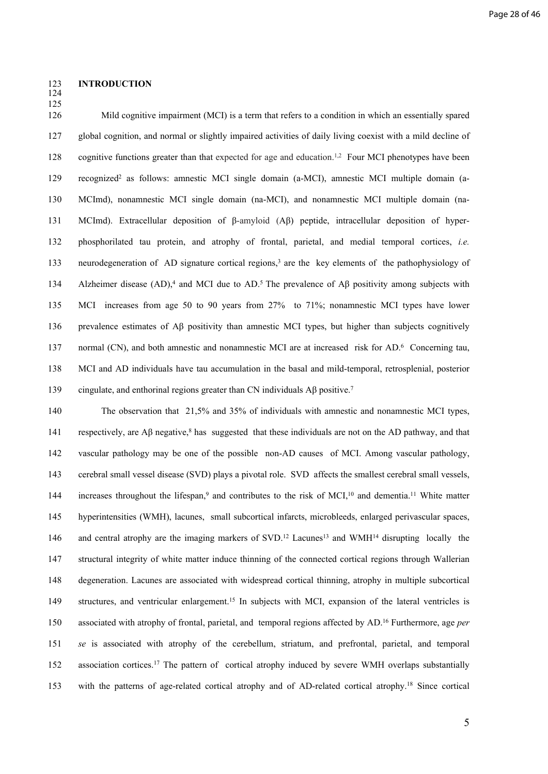#### 123 **INTRODUCTION**

124 125

126 Mild cognitive impairment (MCI) is a term that refers to a condition in which an essentially spared 127 global cognition, and normal or slightly impaired activities of daily living coexist with a mild decline of 128 cognitive functions greater than that expected for age and education.<sup>1,2</sup> Four MCI phenotypes have been 129 recognized<sup>2</sup> as follows: amnestic MCI single domain (a-MCI), amnestic MCI multiple domain (a-130 MCImd), nonamnestic MCI single domain (na-MCI), and nonamnestic MCI multiple domain (na-131 MCImd). Extracellular deposition of β-amyloid (Aβ) peptide, intracellular deposition of hyper-132 phosphorilated tau protein, and atrophy of frontal, parietal, and medial temporal cortices, *i.e.* 133 neurodegeneration of AD signature cortical regions,<sup>3</sup> are the key elements of the pathophysiology of 134 Alzheimer disease (AD),<sup>4</sup> and MCI due to AD.<sup>5</sup> The prevalence of A $\beta$  positivity among subjects with 135 MCI increases from age 50 to 90 years from 27% to 71%; nonamnestic MCI types have lower 136 prevalence estimates of Aβ positivity than amnestic MCI types, but higher than subjects cognitively 137 normal (CN), and both amnestic and nonamnestic MCI are at increased risk for AD.<sup>6</sup> Concerning tau, 138 MCI and AD individuals have tau accumulation in the basal and mild-temporal, retrosplenial, posterior 139 cingulate, and enthorinal regions greater than CN individuals AB positive.<sup>7</sup>

140 The observation that 21,5% and 35% of individuals with amnestic and nonamnestic MCI types, 141 respectively, are  $\mathbf{A}\beta$  negative,<sup>8</sup> has suggested that these individuals are not on the AD pathway, and that 142 vascular pathology may be one of the possible non-AD causes of MCI. Among vascular pathology, 143 cerebral small vessel disease (SVD) plays a pivotal role. SVD affects the smallest cerebral small vessels, 144 increases throughout the lifespan,<sup>9</sup> and contributes to the risk of MCI,<sup>10</sup> and dementia.<sup>11</sup> White matter 145 hyperintensities (WMH), lacunes, small subcortical infarcts, microbleeds, enlarged perivascular spaces, 146 and central atrophy are the imaging markers of SVD.<sup>12</sup> Lacunes<sup>13</sup> and WMH<sup>14</sup> disrupting locally the 147 structural integrity of white matter induce thinning of the connected cortical regions through Wallerian 148 degeneration. Lacunes are associated with widespread cortical thinning, atrophy in multiple subcortical 149 structures, and ventricular enlargement.<sup>15</sup> In subjects with MCI, expansion of the lateral ventricles is 150 associated with atrophy of frontal, parietal, and temporal regions affected by AD.<sup>16</sup> Furthermore, age *per*  151 *se* is associated with atrophy of the cerebellum, striatum, and prefrontal, parietal, and temporal 152 association cortices.<sup>17</sup> The pattern of cortical atrophy induced by severe WMH overlaps substantially 153 with the patterns of age-related cortical atrophy and of AD-related cortical atrophy.<sup>18</sup> Since cortical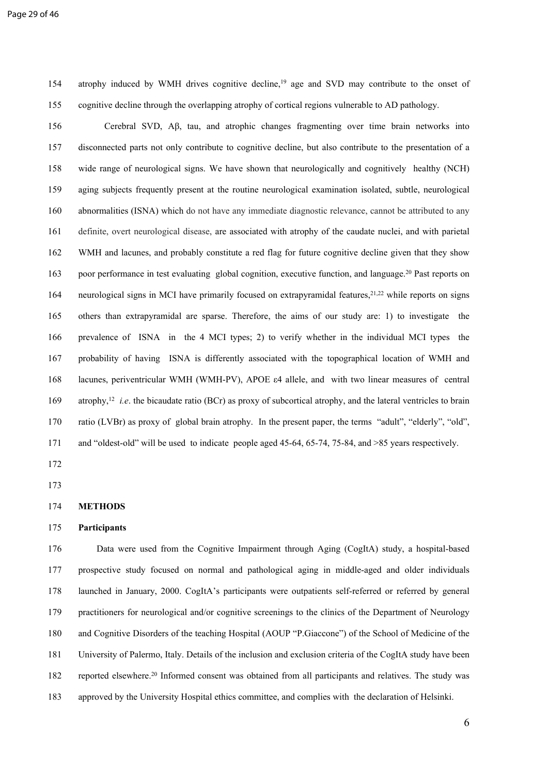154 atrophy induced by WMH drives cognitive decline,<sup>19</sup> age and SVD may contribute to the onset of 155 cognitive decline through the overlapping atrophy of cortical regions vulnerable to AD pathology.

156 Cerebral SVD, Aβ, tau, and atrophic changes fragmenting over time brain networks into 157 disconnected parts not only contribute to cognitive decline, but also contribute to the presentation of a 158 wide range of neurological signs. We have shown that neurologically and cognitively healthy (NCH) 159 aging subjects frequently present at the routine neurological examination isolated, subtle, neurological 160 abnormalities (ISNA) which do not have any immediate diagnostic relevance, cannot be attributed to any 161 definite, overt neurological disease, are associated with atrophy of the caudate nuclei, and with parietal 162 WMH and lacunes, and probably constitute a red flag for future cognitive decline given that they show 163 poor performance in test evaluating global cognition, executive function, and language.<sup>20</sup> Past reports on 164 neurological signs in MCI have primarily focused on extrapyramidal features,<sup>21,22</sup> while reports on signs 165 others than extrapyramidal are sparse. Therefore, the aims of our study are: 1) to investigate the 166 prevalence of ISNA in the 4 MCI types; 2) to verify whether in the individual MCI types the 167 probability of having ISNA is differently associated with the topographical location of WMH and 168 lacunes, periventricular WMH (WMH-PV), APOE ε4 allele, and with two linear measures of central 169 atrophy,<sup>12</sup> *i.e.* the bicaudate ratio (BCr) as proxy of subcortical atrophy, and the lateral ventricles to brain 170 ratio (LVBr) as proxy of global brain atrophy. In the present paper, the terms "adult", "elderly", "old", 171 and "oldest-old" will be used to indicate people aged 45-64, 65-74, 75-84, and >85 years respectively.

172

173

#### 175 **Participants**

176 Data were used from the Cognitive Impairment through Aging (CogItA) study, a hospital-based 177 prospective study focused on normal and pathological aging in middle-aged and older individuals 178 launched in January, 2000. CogItA's participants were outpatients self-referred or referred by general 179 practitioners for neurological and/or cognitive screenings to the clinics of the Department of Neurology 180 and Cognitive Disorders of the teaching Hospital (AOUP "P.Giaccone") of the School of Medicine of the 181 University of Palermo, Italy. Details of the inclusion and exclusion criteria of the CogItA study have been 182 reported elsewhere.<sup>20</sup> Informed consent was obtained from all participants and relatives. The study was 183 approved by the University Hospital ethics committee, and complies with the declaration of Helsinki.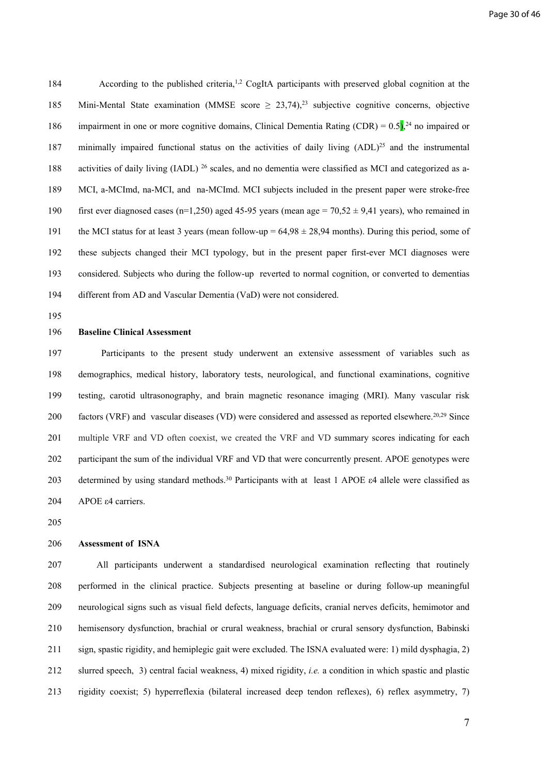184 According to the published criteria,<sup>1,2</sup> CogItA participants with preserved global cognition at the 185 Mini-Mental State examination (MMSE score  $\geq 23,74$ ),<sup>23</sup> subjective cognitive concerns, objective 186 impairment in one or more cognitive domains, Clinical Dementia Rating (CDR) =  $0.5$ ),<sup>24</sup> no impaired or 187 minimally impaired functional status on the activities of daily living (ADL)<sup>25</sup> and the instrumental 188 activities of daily living (IADL) <sup>26</sup> scales, and no dementia were classified as MCI and categorized as a-189 MCI, a-MCImd, na-MCI, and na-MCImd. MCI subjects included in the present paper were stroke-free 190 first ever diagnosed cases (n=1,250) aged 45-95 years (mean age =  $70,52 \pm 9,41$  years), who remained in 191 the MCI status for at least 3 years (mean follow-up =  $64,98 \pm 28,94$  months). During this period, some of 192 these subjects changed their MCI typology, but in the present paper first-ever MCI diagnoses were 193 considered. Subjects who during the follow-up reverted to normal cognition, or converted to dementias 194 different from AD and Vascular Dementia (VaD) were not considered.

195

#### 196 **Baseline Clinical Assessment**

197 Participants to the present study underwent an extensive assessment of variables such as 198 demographics, medical history, laboratory tests, neurological, and functional examinations, cognitive 199 testing, carotid ultrasonography, and brain magnetic resonance imaging (MRI). Many vascular risk 200 factors (VRF) and vascular diseases (VD) were considered and assessed as reported elsewhere.<sup>20,29</sup> Since 201 multiple VRF and VD often coexist, we created the VRF and VD summary scores indicating for each 202 participant the sum of the individual VRF and VD that were concurrently present. APOE genotypes were 203 determined by using standard methods.<sup>30</sup> Participants with at least 1 APOE ε4 allele were classified as 204 APOE ε4 carriers.

205

#### 206 **Assessment of ISNA**

207 All participants underwent a standardised neurological examination reflecting that routinely 208 performed in the clinical practice. Subjects presenting at baseline or during follow-up meaningful 209 neurological signs such as visual field defects, language deficits, cranial nerves deficits, hemimotor and 210 hemisensory dysfunction, brachial or crural weakness, brachial or crural sensory dysfunction, Babinski 211 sign, spastic rigidity, and hemiplegic gait were excluded. The ISNA evaluated were: 1) mild dysphagia, 2) 212 slurred speech, 3) central facial weakness, 4) mixed rigidity, *i.e.* a condition in which spastic and plastic 213 rigidity coexist; 5) hyperreflexia (bilateral increased deep tendon reflexes), 6) reflex asymmetry, 7)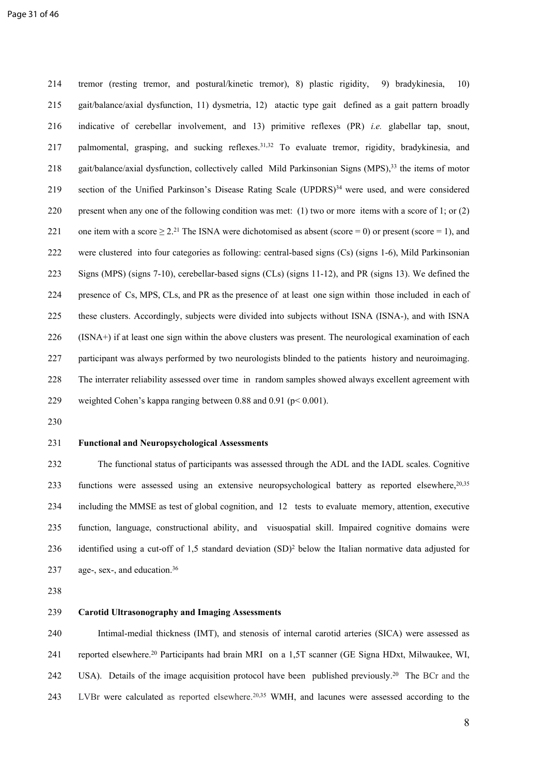214 tremor (resting tremor, and postural/kinetic tremor), 8) plastic rigidity, 9) bradykinesia, 10) 215 gait/balance/axial dysfunction, 11) dysmetria, 12) atactic type gait defined as a gait pattern broadly 216 indicative of cerebellar involvement, and 13) primitive reflexes (PR) *i.e.* glabellar tap, snout, 217 palmomental, grasping, and sucking reflexes.<sup>31,32</sup> To evaluate tremor, rigidity, bradykinesia, and 218 gait/balance/axial dysfunction, collectively called Mild Parkinsonian Signs (MPS),<sup>33</sup> the items of motor 219 section of the Unified Parkinson's Disease Rating Scale (UPDRS)<sup>34</sup> were used, and were considered 220 present when any one of the following condition was met: (1) two or more items with a score of 1; or (2) 221 one item with a score  $\geq 2$ .<sup>21</sup> The ISNA were dichotomised as absent (score = 0) or present (score = 1), and 222 were clustered into four categories as following: central-based signs (Cs) (signs 1-6), Mild Parkinsonian 223 Signs (MPS) (signs 7-10), cerebellar-based signs (CLs) (signs 11-12), and PR (signs 13). We defined the 224 presence of Cs, MPS, CLs, and PR as the presence of at least one sign within those included in each of 225 these clusters. Accordingly, subjects were divided into subjects without ISNA (ISNA-), and with ISNA 226 (ISNA+) if at least one sign within the above clusters was present. The neurological examination of each 227 participant was always performed by two neurologists blinded to the patients history and neuroimaging. 228 The interrater reliability assessed over time in random samples showed always excellent agreement with 229 weighted Cohen's kappa ranging between 0.88 and 0.91 (p< 0.001).

230

#### 231 **Functional and Neuropsychological Assessments**

232 The functional status of participants was assessed through the ADL and the IADL scales. Cognitive 233 functions were assessed using an extensive neuropsychological battery as reported elsewhere, <sup>20,35</sup> 234 including the MMSE as test of global cognition, and 12 tests to evaluate memory, attention, executive 235 function, language, constructional ability, and visuospatial skill. Impaired cognitive domains were 236 identified using a cut-off of 1,5 standard deviation  $(SD)^2$  below the Italian normative data adjusted for 237 age-, sex-, and education.<sup>36</sup>

238

#### 239 **Carotid Ultrasonography and Imaging Assessments**

240 Intimal-medial thickness (IMT), and stenosis of internal carotid arteries (SICA) were assessed as 241 reported elsewhere.<sup>20</sup> Participants had brain MRI on a 1,5T scanner (GE Signa HDxt, Milwaukee, WI, 242 USA). Details of the image acquisition protocol have been published previously.<sup>20</sup> The BCr and the 243 LVBr were calculated as reported elsewhere.<sup>20,35</sup> WMH, and lacunes were assessed according to the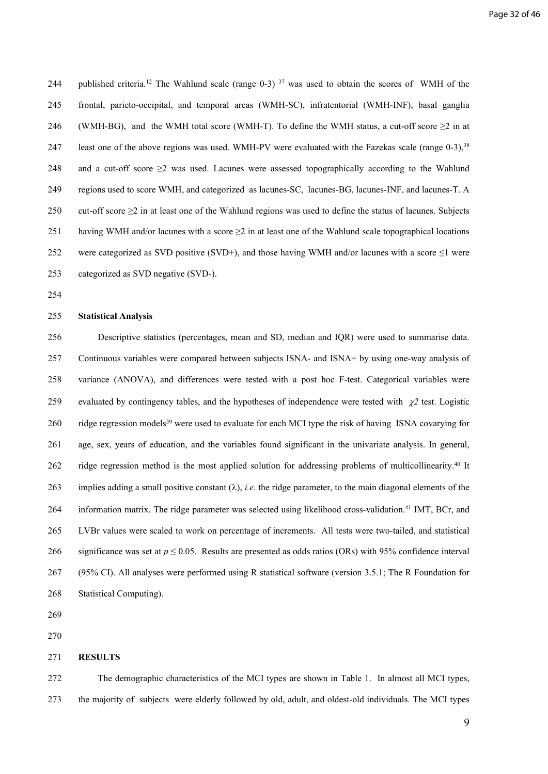244 published criteria.<sup>12</sup> The Wahlund scale (range 0-3) <sup>37</sup> was used to obtain the scores of WMH of the 245 frontal, parieto-occipital, and temporal areas (WMH-SC), infratentorial (WMH-INF), basal ganglia 246 (WMH-BG), and the WMH total score (WMH-T). To define the WMH status, a cut-off score  $\geq 2$  in at 247 least one of the above regions was used. WMH-PV were evaluated with the Fazekas scale (range 0-3),<sup>38</sup> 248 and a cut-off score  $\geq$  was used. Lacunes were assessed topographically according to the Wahlund 249 regions used to score WMH, and categorized as lacunes-SC, lacunes-BG, lacunes-INF, and lacunes-T. A 250 cut-off score ≥2 in at least one of the Wahlund regions was used to define the status of lacunes. Subjects 251 having WMH and/or lacunes with a score  $\geq$  2 in at least one of the Wahlund scale topographical locations 252 were categorized as SVD positive (SVD+), and those having WMH and/or lacunes with a score  $\leq$ 1 were 253 categorized as SVD negative (SVD-).

254

#### 255 **Statistical Analysis**

256 Descriptive statistics (percentages, mean and SD, median and IQR) were used to summarise data. 257 Continuous variables were compared between subjects ISNA- and ISNA+ by using one-way analysis of 258 variance (ANOVA), and differences were tested with a post hoc F-test. Categorical variables were 259 evaluated by contingency tables, and the hypotheses of independence were tested with  $\chi$ <sup>2</sup> test. Logistic 260 ridge regression models<sup>39</sup> were used to evaluate for each MCI type the risk of having ISNA covarying for 261 age, sex, years of education, and the variables found significant in the univariate analysis. In general, 262 ridge regression method is the most applied solution for addressing problems of multicollinearity.<sup>40</sup> It 263 implies adding a small positive constant  $(\lambda)$ , *i.e.* the ridge parameter, to the main diagonal elements of the 264 information matrix. The ridge parameter was selected using likelihood cross-validation.<sup>41</sup> IMT, BCr, and 265 LVBr values were scaled to work on percentage of increments. All tests were two-tailed, and statistical 266 significance was set at  $p \le 0.05$ . Results are presented as odds ratios (ORs) with 95% confidence interval 267 (95% CI). All analyses were performed using R statistical software (version 3.5.1; The R Foundation for 268 Statistical Computing).

269

270

#### 271 **RESULTS**

272 The demographic characteristics of the MCI types are shown in Table 1. In almost all MCI types, 273 the majority of subjects were elderly followed by old, adult, and oldest-old individuals. The MCI types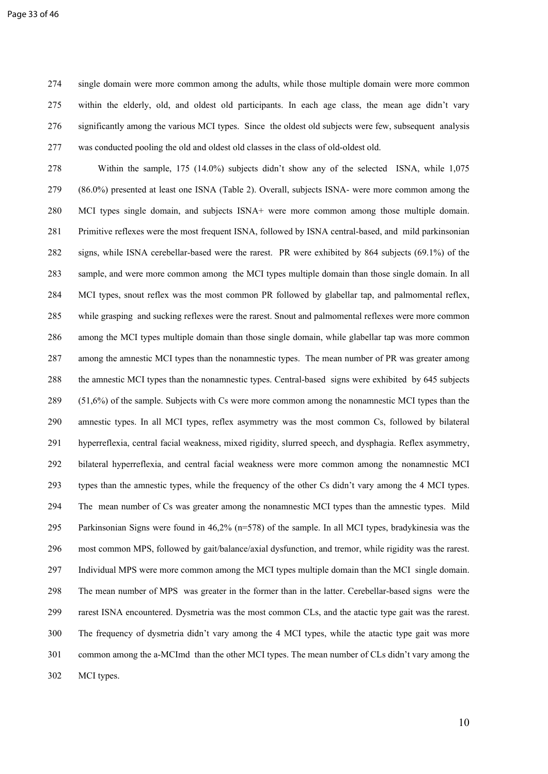274 single domain were more common among the adults, while those multiple domain were more common 275 within the elderly, old, and oldest old participants. In each age class, the mean age didn't vary 276 significantly among the various MCI types. Since the oldest old subjects were few, subsequent analysis 277 was conducted pooling the old and oldest old classes in the class of old-oldest old.

278 Within the sample, 175 (14.0%) subjects didn't show any of the selected ISNA, while 1,075 279 (86.0%) presented at least one ISNA (Table 2). Overall, subjects ISNA- were more common among the 280 MCI types single domain, and subjects ISNA+ were more common among those multiple domain. 281 Primitive reflexes were the most frequent ISNA, followed by ISNA central-based, and mild parkinsonian 282 signs, while ISNA cerebellar-based were the rarest. PR were exhibited by 864 subjects (69.1%) of the 283 sample, and were more common among the MCI types multiple domain than those single domain. In all 284 MCI types, snout reflex was the most common PR followed by glabellar tap, and palmomental reflex, 285 while grasping and sucking reflexes were the rarest. Snout and palmomental reflexes were more common 286 among the MCI types multiple domain than those single domain, while glabellar tap was more common 287 among the amnestic MCI types than the nonamnestic types. The mean number of PR was greater among 288 the amnestic MCI types than the nonamnestic types. Central-based signs were exhibited by 645 subjects 289 (51,6%) of the sample. Subjects with Cs were more common among the nonamnestic MCI types than the 290 amnestic types. In all MCI types, reflex asymmetry was the most common Cs, followed by bilateral 291 hyperreflexia, central facial weakness, mixed rigidity, slurred speech, and dysphagia. Reflex asymmetry, 292 bilateral hyperreflexia, and central facial weakness were more common among the nonamnestic MCI 293 types than the amnestic types, while the frequency of the other Cs didn't vary among the 4 MCI types. 294 The mean number of Cs was greater among the nonamnestic MCI types than the amnestic types. Mild 295 Parkinsonian Signs were found in 46,2% (n=578) of the sample. In all MCI types, bradykinesia was the 296 most common MPS, followed by gait/balance/axial dysfunction, and tremor, while rigidity was the rarest. 297 Individual MPS were more common among the MCI types multiple domain than the MCI single domain. 298 The mean number of MPS was greater in the former than in the latter. Cerebellar-based signs were the 299 rarest ISNA encountered. Dysmetria was the most common CLs, and the atactic type gait was the rarest. 300 The frequency of dysmetria didn't vary among the 4 MCI types, while the atactic type gait was more 301 common among the a-MCImd than the other MCI types. The mean number of CLs didn't vary among the 302 MCI types.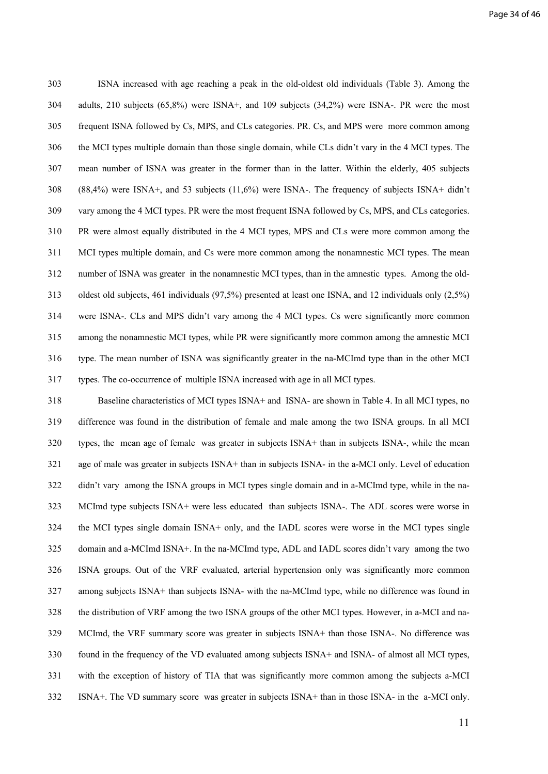303 ISNA increased with age reaching a peak in the old-oldest old individuals (Table 3). Among the 304 adults, 210 subjects (65,8%) were ISNA+, and 109 subjects (34,2%) were ISNA-. PR were the most 305 frequent ISNA followed by Cs, MPS, and CLs categories. PR. Cs, and MPS were more common among 306 the MCI types multiple domain than those single domain, while CLs didn't vary in the 4 MCI types. The 307 mean number of ISNA was greater in the former than in the latter. Within the elderly, 405 subjects 308 (88,4%) were ISNA+, and 53 subjects (11,6%) were ISNA-. The frequency of subjects ISNA+ didn't 309 vary among the 4 MCI types. PR were the most frequent ISNA followed by Cs, MPS, and CLs categories. 310 PR were almost equally distributed in the 4 MCI types, MPS and CLs were more common among the 311 MCI types multiple domain, and Cs were more common among the nonamnestic MCI types. The mean 312 number of ISNA was greater in the nonamnestic MCI types, than in the amnestic types. Among the old-313 oldest old subjects, 461 individuals (97,5%) presented at least one ISNA, and 12 individuals only (2,5%) 314 were ISNA-. CLs and MPS didn't vary among the 4 MCI types. Cs were significantly more common 315 among the nonamnestic MCI types, while PR were significantly more common among the amnestic MCI 316 type. The mean number of ISNA was significantly greater in the na-MCImd type than in the other MCI 317 types. The co-occurrence of multiple ISNA increased with age in all MCI types.

318 Baseline characteristics of MCI types ISNA+ and ISNA- are shown in Table 4. In all MCI types, no 319 difference was found in the distribution of female and male among the two ISNA groups. In all MCI 320 types, the mean age of female was greater in subjects ISNA+ than in subjects ISNA-, while the mean 321 age of male was greater in subjects ISNA+ than in subjects ISNA- in the a-MCI only. Level of education 322 didn't vary among the ISNA groups in MCI types single domain and in a-MCImd type, while in the na-323 MCImd type subjects ISNA+ were less educated than subjects ISNA-. The ADL scores were worse in 324 the MCI types single domain ISNA+ only, and the IADL scores were worse in the MCI types single 325 domain and a-MCImd ISNA+. In the na-MCImd type, ADL and IADL scores didn't vary among the two 326 ISNA groups. Out of the VRF evaluated, arterial hypertension only was significantly more common 327 among subjects ISNA+ than subjects ISNA- with the na-MCImd type, while no difference was found in 328 the distribution of VRF among the two ISNA groups of the other MCI types. However, in a-MCI and na-329 MCImd, the VRF summary score was greater in subjects ISNA+ than those ISNA-. No difference was 330 found in the frequency of the VD evaluated among subjects ISNA+ and ISNA- of almost all MCI types, 331 with the exception of history of TIA that was significantly more common among the subjects a-MCI 332 ISNA+. The VD summary score was greater in subjects ISNA+ than in those ISNA- in the a-MCI only.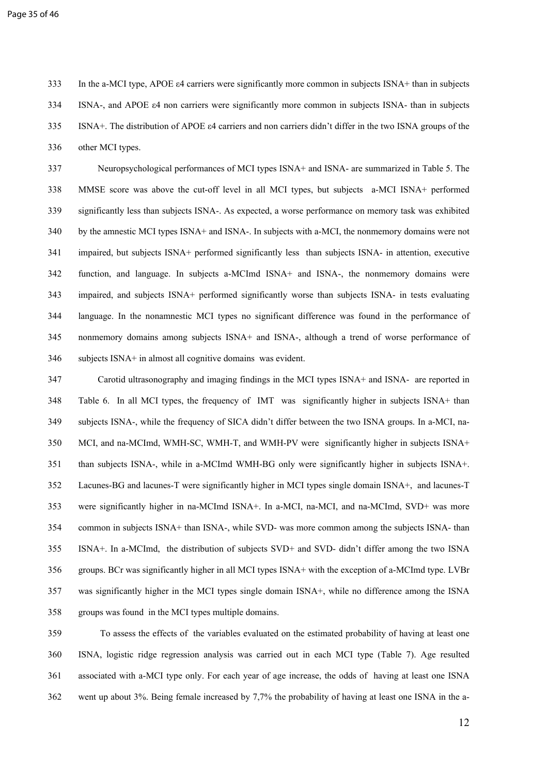333 In the a-MCI type, APOE ε4 carriers were significantly more common in subjects ISNA+ than in subjects 334 ISNA-, and APOE ε4 non carriers were significantly more common in subjects ISNA- than in subjects 335 ISNA+. The distribution of APOE ε4 carriers and non carriers didn't differ in the two ISNA groups of the 336 other MCI types.

337 Neuropsychological performances of MCI types ISNA+ and ISNA- are summarized in Table 5. The 338 MMSE score was above the cut-off level in all MCI types, but subjects a-MCI ISNA+ performed 339 significantly less than subjects ISNA-. As expected, a worse performance on memory task was exhibited 340 by the amnestic MCI types ISNA+ and ISNA-. In subjects with a-MCI, the nonmemory domains were not 341 impaired, but subjects ISNA+ performed significantly less than subjects ISNA- in attention, executive 342 function, and language. In subjects a-MCImd ISNA+ and ISNA-, the nonmemory domains were 343 impaired, and subjects ISNA+ performed significantly worse than subjects ISNA- in tests evaluating 344 language. In the nonamnestic MCI types no significant difference was found in the performance of 345 nonmemory domains among subjects ISNA+ and ISNA-, although a trend of worse performance of 346 subjects ISNA+ in almost all cognitive domains was evident.

347 Carotid ultrasonography and imaging findings in the MCI types ISNA+ and ISNA- are reported in 348 Table 6. In all MCI types, the frequency of IMT was significantly higher in subjects ISNA+ than 349 subjects ISNA-, while the frequency of SICA didn't differ between the two ISNA groups. In a-MCI, na-350 MCI, and na-MCImd, WMH-SC, WMH-T, and WMH-PV were significantly higher in subjects ISNA+ 351 than subjects ISNA-, while in a-MCImd WMH-BG only were significantly higher in subjects ISNA+. 352 Lacunes-BG and lacunes-T were significantly higher in MCI types single domain ISNA+, and lacunes-T 353 were significantly higher in na-MCImd ISNA+. In a-MCI, na-MCI, and na-MCImd, SVD+ was more 354 common in subjects ISNA+ than ISNA-, while SVD- was more common among the subjects ISNA- than 355 ISNA+. In a-MCImd, the distribution of subjects SVD+ and SVD- didn't differ among the two ISNA 356 groups. BCr was significantly higher in all MCI types ISNA+ with the exception of a-MCImd type. LVBr 357 was significantly higher in the MCI types single domain ISNA+, while no difference among the ISNA 358 groups was found in the MCI types multiple domains.

359 To assess the effects of the variables evaluated on the estimated probability of having at least one 360 ISNA, logistic ridge regression analysis was carried out in each MCI type (Table 7). Age resulted 361 associated with a-MCI type only. For each year of age increase, the odds of having at least one ISNA 362 went up about 3%. Being female increased by 7,7% the probability of having at least one ISNA in the a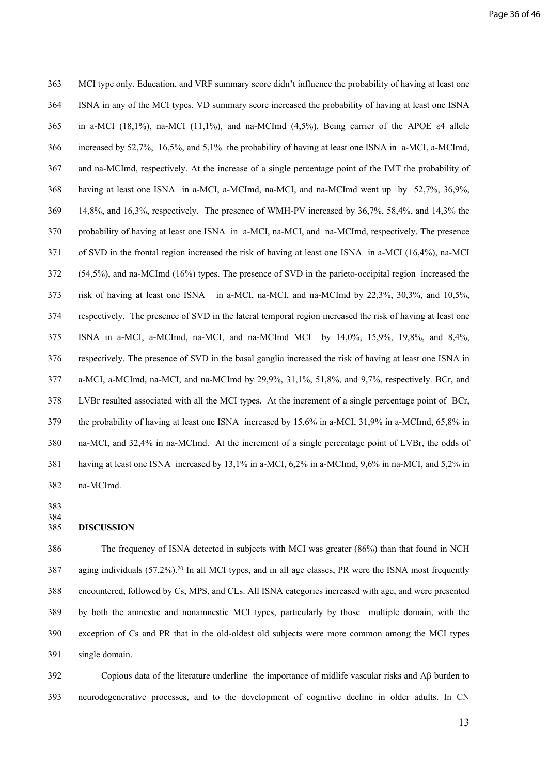363 MCI type only. Education, and VRF summary score didn't influence the probability of having at least one 364 ISNA in any of the MCI types. VD summary score increased the probability of having at least one ISNA 365 in a-MCI (18,1%), na-MCI (11,1%), and na-MCImd (4,5%). Being carrier of the APOE ε4 allele 366 increased by 52,7%, 16,5%, and 5,1% the probability of having at least one ISNA in a-MCI, a-MCImd, 367 and na-MCImd, respectively. At the increase of a single percentage point of the IMT the probability of 368 having at least one ISNA in a-MCI, a-MCImd, na-MCI, and na-MCImd went up by 52,7%, 36,9%, 369 14,8%, and 16,3%, respectively. The presence of WMH-PV increased by 36,7%, 58,4%, and 14,3% the 370 probability of having at least one ISNA in a-MCI, na-MCI, and na-MCImd, respectively. The presence 371 of SVD in the frontal region increased the risk of having at least one ISNA in a-MCI (16,4%), na-MCI 372 (54,5%), and na-MCImd (16%) types. The presence of SVD in the parieto-occipital region increased the 373 risk of having at least one ISNA in a-MCI, na-MCI, and na-MCImd by 22,3%, 30,3%, and 10,5%, 374 respectively. The presence of SVD in the lateral temporal region increased the risk of having at least one 375 ISNA in a-MCI, a-MCImd, na-MCI, and na-MCImd MCI by 14,0%, 15,9%, 19,8%, and 8,4%, 376 respectively. The presence of SVD in the basal ganglia increased the risk of having at least one ISNA in 377 a-MCI, a-MCImd, na-MCI, and na-MCImd by 29,9%, 31,1%, 51,8%, and 9,7%, respectively. BCr, and 378 LVBr resulted associated with all the MCI types. At the increment of a single percentage point of BCr, 379 the probability of having at least one ISNA increased by 15,6% in a-MCI, 31,9% in a-MCImd, 65,8% in 380 na-MCI, and 32,4% in na-MCImd. At the increment of a single percentage point of LVBr, the odds of 381 having at least one ISNA increased by 13,1% in a-MCI, 6,2% in a-MCImd, 9,6% in na-MCI, and 5,2% in 382 na-MCImd.

383 384

#### 385 **DISCUSSION**

386The frequency of ISNA detected in subjects with MCI was greater (86%) than that found in NCH 387 aging individuals (57,2%).<sup>20</sup> In all MCI types, and in all age classes, PR were the ISNA most frequently 388 encountered, followed by Cs, MPS, and CLs. All ISNA categories increased with age, and were presented 389 by both the amnestic and nonamnestic MCI types, particularly by those multiple domain, with the 390 exception of Cs and PR that in the old-oldest old subjects were more common among the MCI types 391 single domain.

392 Copious data of the literature underline the importance of midlife vascular risks and Aβ burden to 393 neurodegenerative processes, and to the development of cognitive decline in older adults. In CN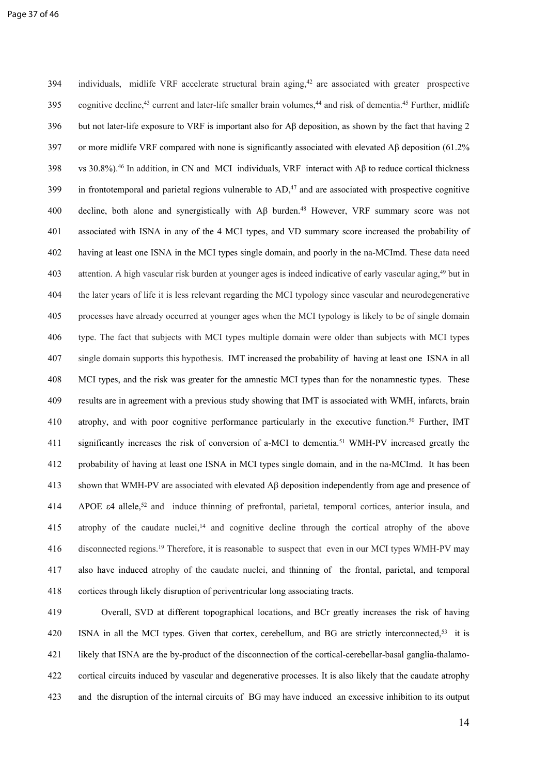394 individuals, midlife VRF accelerate structural brain aging,<sup>42</sup> are associated with greater prospective 395 cognitive decline,<sup>43</sup> current and later-life smaller brain volumes,<sup>44</sup> and risk of dementia.<sup>45</sup> Further, midlife 396 but not later-life exposure to VRF is important also for Aβ deposition, as shown by the fact that having 2 397 or more midlife VRF compared with none is significantly associated with elevated A $\beta$  deposition (61.2%) 398 vs 30.8%).<sup>46</sup> In addition, in CN and MCI individuals, VRF interact with Aβ to reduce cortical thickness  $399$  in frontotemporal and parietal regions vulnerable to  $AD<sub>1</sub><sup>47</sup>$  and are associated with prospective cognitive 400 decline, both alone and synergistically with Aβ burden.<sup>48</sup> However, VRF summary score was not 401 associated with ISNA in any of the 4 MCI types, and VD summary score increased the probability of 402 having at least one ISNA in the MCI types single domain, and poorly in the na-MCImd. These data need 403 attention. A high vascular risk burden at younger ages is indeed indicative of early vascular aging,<sup>49</sup> but in 404 the later years of life it is less relevant regarding the MCI typology since vascular and neurodegenerative 405 processes have already occurred at younger ages when the MCI typology is likely to be of single domain 406 type. The fact that subjects with MCI types multiple domain were older than subjects with MCI types 407 single domain supports this hypothesis. IMT increased the probability of having at least one ISNA in all 408 MCI types, and the risk was greater for the amnestic MCI types than for the nonamnestic types. These 409 results are in agreement with a previous study showing that IMT is associated with WMH, infarcts, brain 410 atrophy, and with poor cognitive performance particularly in the executive function.<sup>50</sup> Further, IMT 411 significantly increases the risk of conversion of a-MCI to dementia.<sup>51</sup> WMH-PV increased greatly the 412 probability of having at least one ISNA in MCI types single domain, and in the na-MCImd. It has been 413 shown that WMH-PV are associated with elevated Aβ deposition independently from age and presence of 414 APOE  $\varepsilon$ 4 allele,<sup>52</sup> and induce thinning of prefrontal, parietal, temporal cortices, anterior insula, and 415 atrophy of the caudate nuclei,<sup>14</sup> and cognitive decline through the cortical atrophy of the above 416 disconnected regions.<sup>19</sup> Therefore, it is reasonable to suspect that even in our MCI types WMH-PV may 417 also have induced atrophy of the caudate nuclei, and thinning of the frontal, parietal, and temporal 418 cortices through likely disruption of periventricular long associating tracts.

419 Overall, SVD at different topographical locations, and BCr greatly increases the risk of having 420 ISNA in all the MCI types. Given that cortex, cerebellum, and BG are strictly interconnected,<sup>53</sup> it is 421 likely that ISNA are the by-product of the disconnection of the cortical-cerebellar-basal ganglia-thalamo-422 cortical circuits induced by vascular and degenerative processes. It is also likely that the caudate atrophy 423 and the disruption of the internal circuits of BG may have induced an excessive inhibition to its output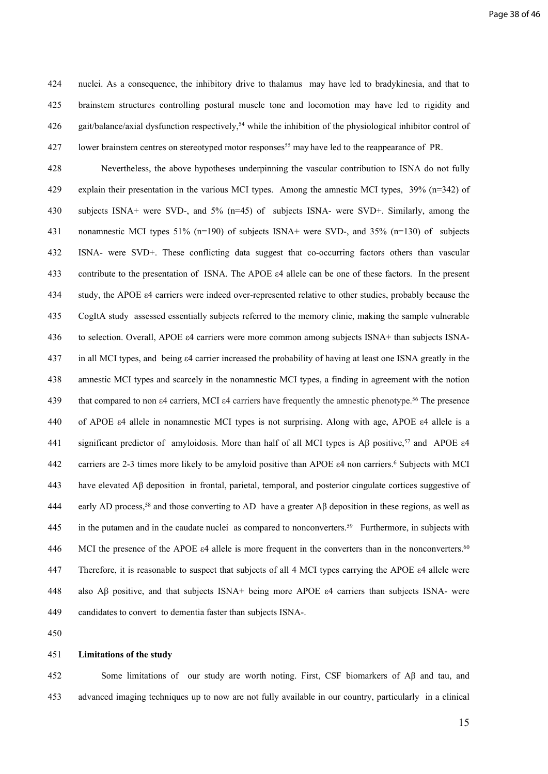424 nuclei. As a consequence, the inhibitory drive to thalamus may have led to bradykinesia, and that to 425 brainstem structures controlling postural muscle tone and locomotion may have led to rigidity and 426 gait/balance/axial dysfunction respectively,<sup>54</sup> while the inhibition of the physiological inhibitor control of 427 lower brainstem centres on stereotyped motor responses<sup>55</sup> may have led to the reappearance of PR.

428 Nevertheless, the above hypotheses underpinning the vascular contribution to ISNA do not fully 429 explain their presentation in the various MCI types. Among the amnestic MCI types, 39% (n=342) of 430 subjects ISNA+ were SVD-, and 5% (n=45) of subjects ISNA- were SVD+. Similarly, among the 431 nonamnestic MCI types 51% (n=190) of subjects ISNA+ were SVD-, and 35% (n=130) of subjects 432 ISNA- were SVD+. These conflicting data suggest that co-occurring factors others than vascular 433 contribute to the presentation of ISNA. The APOE ε4 allele can be one of these factors. In the present 434 study, the APOE ε4 carriers were indeed over-represented relative to other studies, probably because the 435 CogItA study assessed essentially subjects referred to the memory clinic, making the sample vulnerable 436 to selection. Overall, APOE ε4 carriers were more common among subjects ISNA+ than subjects ISNA-437 in all MCI types, and being ε4 carrier increased the probability of having at least one ISNA greatly in the 438 amnestic MCI types and scarcely in the nonamnestic MCI types, a finding in agreement with the notion 439 that compared to non ε4 carriers, MCI ε4 carriers have frequently the amnestic phenotype.<sup>56</sup> The presence 440 of APOE ε4 allele in nonamnestic MCI types is not surprising. Along with age, APOE ε4 allele is a 441 significant predictor of amyloidosis. More than half of all MCI types is Aβ positive,<sup>57</sup> and APOE ε4 442 carriers are 2-3 times more likely to be amyloid positive than APOE  $\varepsilon$ 4 non carriers.<sup>6</sup> Subjects with MCI 443 have elevated Aβ deposition in frontal, parietal, temporal, and posterior cingulate cortices suggestive of 444 early AD process,<sup>58</sup> and those converting to AD have a greater Aβ deposition in these regions, as well as 445 in the putamen and in the caudate nuclei as compared to nonconverters.<sup>59</sup> Furthermore, in subjects with 446 MCI the presence of the APOE  $\varepsilon$ 4 allele is more frequent in the converters than in the nonconverters.<sup>60</sup> 447 Therefore, it is reasonable to suspect that subjects of all 4 MCI types carrying the APOE ε4 allele were 448 also Aβ positive, and that subjects ISNA+ being more APOE ε4 carriers than subjects ISNA- were 449 candidates to convert to dementia faster than subjects ISNA-.

450

#### 451 **Limitations of the study**

452 Some limitations of our study are worth noting. First, CSF biomarkers of Aβ and tau, and 453 advanced imaging techniques up to now are not fully available in our country, particularly in a clinical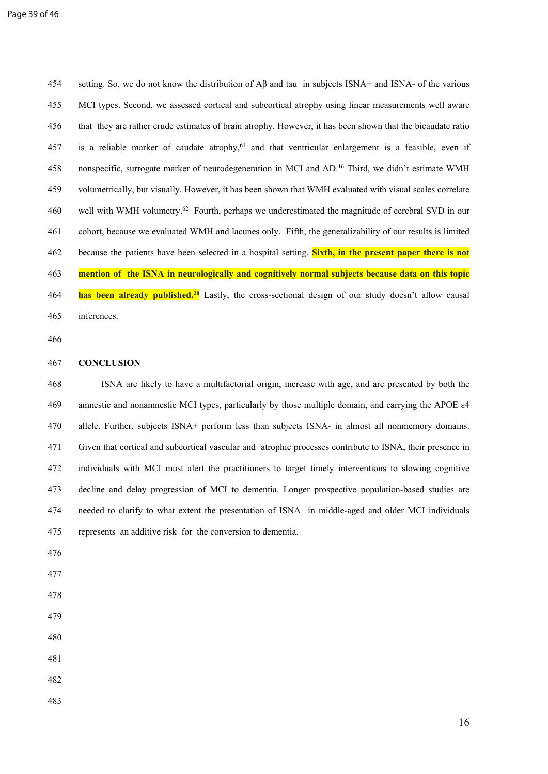454 setting. So, we do not know the distribution of Aβ and tau in subjects ISNA+ and ISNA- of the various 455 MCI types. Second, we assessed cortical and subcortical atrophy using linear measurements well aware 456 that they are rather crude estimates of brain atrophy. However, it has been shown that the bicaudate ratio 457 is a reliable marker of caudate atrophy,<sup>61</sup> and that ventricular enlargement is a feasible, even if 458 nonspecific, surrogate marker of neurodegeneration in MCI and AD.<sup>16</sup> Third, we didn't estimate WMH 459 volumetrically, but visually. However, it has been shown that WMH evaluated with visual scales correlate 460 well with WMH volumetry.<sup>62</sup> Fourth, perhaps we underestimated the magnitude of cerebral SVD in our 461 cohort, because we evaluated WMH and lacunes only. Fifth, the generalizability of our results is limited 462 because the patients have been selected in a hospital setting. **Sixth, in the present paper there is not**  463 **mention of the ISNA in neurologically and cognitively normal subjects because data on this topic**  464 **has been already published.<sup>20</sup>** Lastly, the cross-sectional design of our study doesn't allow causal 465 inferences.

466

#### 467 **CONCLUSION**

468ISNA are likely to have a multifactorial origin, increase with age, and are presented by both the 469 amnestic and nonamnestic MCI types, particularly by those multiple domain, and carrying the APOE ε4 470 allele. Further, subjects ISNA+ perform less than subjects ISNA- in almost all nonmemory domains. 471 Given that cortical and subcortical vascular and atrophic processes contribute to ISNA, their presence in 472 individuals with MCI must alert the practitioners to target timely interventions to slowing cognitive 473 decline and delay progression of MCI to dementia. Longer prospective population-based studies are 474 needed to clarify to what extent the presentation of ISNA in middle-aged and older MCI individuals 475 represents an additive risk for the conversion to dementia.

- 476
- 477
- 478
- 479
- 480
- 481
- 482
- 483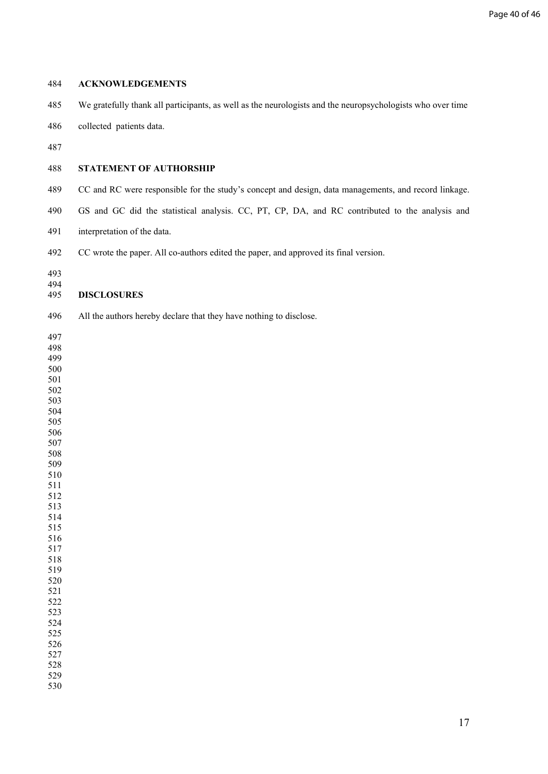#### **ACKNOWLEDGEMENTS**

- 485 We gratefully thank all participants, as well as the neurologists and the neuropsychologists who over time
- 486 collected patients data.
- 

## **STATEMENT OF AUTHORSHIP**

- 489 CC and RC were responsible for the study's concept and design, data managements, and record linkage.
- 490 GS and GC did the statistical analysis. CC, PT, CP, DA, and RC contributed to the analysis and
- 491 interpretation of the data.
- 492 CC wrote the paper. All co-authors edited the paper, and approved its final version.
- 

## **DISCLOSURES**

- 496 All the authors hereby declare that they have nothing to disclose.
- 

- 
- 

 

 

- 
- 

 

 

- 
- 
- 

 

 

- 
- 
-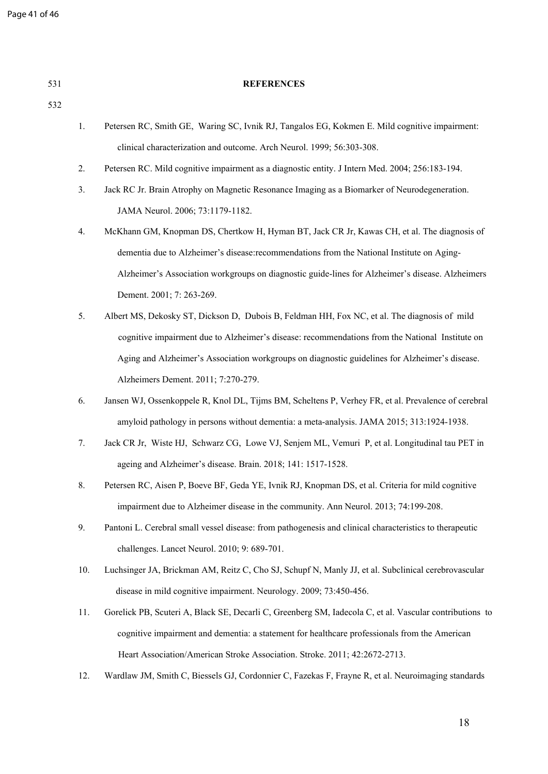| 531 |     | <b>REFERENCES</b>                                                                                       |
|-----|-----|---------------------------------------------------------------------------------------------------------|
| 532 |     |                                                                                                         |
|     | 1.  | Petersen RC, Smith GE, Waring SC, Ivnik RJ, Tangalos EG, Kokmen E. Mild cognitive impairment:           |
|     |     | clinical characterization and outcome. Arch Neurol. 1999; 56:303-308.                                   |
|     | 2.  | Petersen RC. Mild cognitive impairment as a diagnostic entity. J Intern Med. 2004; 256:183-194.         |
|     | 3.  | Jack RC Jr. Brain Atrophy on Magnetic Resonance Imaging as a Biomarker of Neurodegeneration.            |
|     |     | JAMA Neurol. 2006; 73:1179-1182.                                                                        |
|     | 4.  | McKhann GM, Knopman DS, Chertkow H, Hyman BT, Jack CR Jr, Kawas CH, et al. The diagnosis of             |
|     |     | dementia due to Alzheimer's disease: recommendations from the National Institute on Aging-              |
|     |     | Alzheimer's Association workgroups on diagnostic guide-lines for Alzheimer's disease. Alzheimers        |
|     |     | Dement. 2001; 7: 263-269.                                                                               |
|     | 5.  | Albert MS, Dekosky ST, Dickson D, Dubois B, Feldman HH, Fox NC, et al. The diagnosis of mild            |
|     |     | cognitive impairment due to Alzheimer's disease: recommendations from the National Institute on         |
|     |     | Aging and Alzheimer's Association workgroups on diagnostic guidelines for Alzheimer's disease.          |
|     |     | Alzheimers Dement. 2011; 7:270-279.                                                                     |
|     | 6.  | Jansen WJ, Ossenkoppele R, Knol DL, Tijms BM, Scheltens P, Verhey FR, et al. Prevalence of cerebral     |
|     |     | amyloid pathology in persons without dementia: a meta-analysis. JAMA 2015; 313:1924-1938.               |
|     | 7.  | Jack CR Jr, Wiste HJ, Schwarz CG, Lowe VJ, Senjem ML, Vemuri P, et al. Longitudinal tau PET in          |
|     |     | ageing and Alzheimer's disease. Brain. 2018; 141: 1517-1528.                                            |
|     | 8.  | Petersen RC, Aisen P, Boeve BF, Geda YE, Ivnik RJ, Knopman DS, et al. Criteria for mild cognitive       |
|     |     | impairment due to Alzheimer disease in the community. Ann Neurol. 2013; 74:199-208.                     |
|     | 9.  | Pantoni L. Cerebral small vessel disease: from pathogenesis and clinical characteristics to therapeutic |
|     |     | challenges. Lancet Neurol. 2010; 9: 689-701.                                                            |
|     | 10. | Luchsinger JA, Brickman AM, Reitz C, Cho SJ, Schupf N, Manly JJ, et al. Subclinical cerebrovascular     |
|     |     | disease in mild cognitive impairment. Neurology. 2009; 73:450-456.                                      |
|     | 11. | Gorelick PB, Scuteri A, Black SE, Decarli C, Greenberg SM, Iadecola C, et al. Vascular contributions to |
|     |     | cognitive impairment and dementia: a statement for healthcare professionals from the American           |
|     |     | Heart Association/American Stroke Association. Stroke. 2011; 42:2672-2713.                              |
|     | 12. | Wardlaw JM, Smith C, Biessels GJ, Cordonnier C, Fazekas F, Frayne R, et al. Neuroimaging standards      |
|     |     |                                                                                                         |
|     |     |                                                                                                         |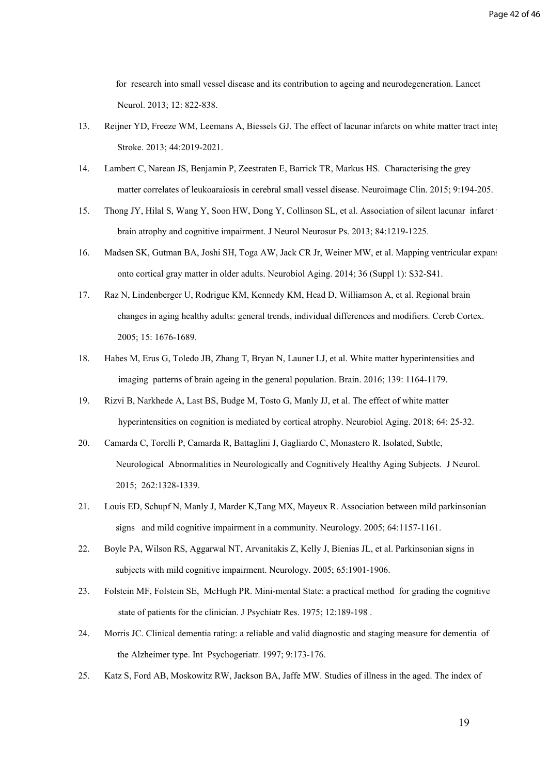for research into small vessel disease and its contribution to ageing and neurodegeneration. Lancet Neurol. 2013; 12: 822-838.

- 13. Reijner YD, Freeze WM, Leemans A, Biessels GJ. The effect of lacunar infarcts on white matter tract integrity. Stroke. 2013; 44:2019-2021.
- 14. Lambert C, Narean JS, Benjamin P, Zeestraten E, Barrick TR, Markus HS. Characterising the grey matter correlates of leukoaraiosis in cerebral small vessel disease. Neuroimage Clin. 2015; 9:194-205.
- 15. [Thong JY](http://www.ncbi.nlm.nih.gov/pubmed/?term=Thong%20JY%5BAuthor%5D&cauthor=true&cauthor_uid=23933740), [Hilal S](http://www.ncbi.nlm.nih.gov/pubmed/?term=Hilal%20S%5BAuthor%5D&cauthor=true&cauthor_uid=23933740), [Wang Y,](http://www.ncbi.nlm.nih.gov/pubmed/?term=Wang%20Y%5BAuthor%5D&cauthor=true&cauthor_uid=23933740) [Soon HW](http://www.ncbi.nlm.nih.gov/pubmed/?term=Soon%20HW%5BAuthor%5D&cauthor=true&cauthor_uid=23933740), [Dong Y](http://www.ncbi.nlm.nih.gov/pubmed/?term=Dong%20Y%5BAuthor%5D&cauthor=true&cauthor_uid=23933740), [Collinson SL,](http://www.ncbi.nlm.nih.gov/pubmed/?term=Collinson%20SL%5BAuthor%5D&cauthor=true&cauthor_uid=23933740) et al. Association of silent lacunar infarct with brain atrophy and cognitive impairment. J Neurol Neurosur Ps. 2013; 84:1219-1225.
- 16. Madsen SK, Gutman BA, Joshi SH, Toga AW, Jack CR Jr, Weiner MW, et al. Mapping ventricular expansion onto cortical gray matter in older adults. Neurobiol Aging. 2014; 36 (Suppl 1): S32-S41.
- 17. [Raz N,](http://www.ncbi.nlm.nih.gov/pubmed/?term=Raz%20N%5BAuthor%5D&cauthor=true&cauthor_uid=15703252) [Lindenberger U](http://www.ncbi.nlm.nih.gov/pubmed/?term=Lindenberger%20U%5BAuthor%5D&cauthor=true&cauthor_uid=15703252), [Rodrigue KM](http://www.ncbi.nlm.nih.gov/pubmed/?term=Rodrigue%20KM%5BAuthor%5D&cauthor=true&cauthor_uid=15703252), [Kennedy KM,](http://www.ncbi.nlm.nih.gov/pubmed/?term=Kennedy%20KM%5BAuthor%5D&cauthor=true&cauthor_uid=15703252) [Head D,](http://www.ncbi.nlm.nih.gov/pubmed/?term=Head%20D%5BAuthor%5D&cauthor=true&cauthor_uid=15703252) [Williamson A,](http://www.ncbi.nlm.nih.gov/pubmed/?term=Williamson%20A%5BAuthor%5D&cauthor=true&cauthor_uid=15703252) et al. Regional brain changes in aging healthy adults: general trends, individual differences and modifiers. Cereb [Cortex.](http://www.ncbi.nlm.nih.gov/pubmed/15703252) 2005; 15: 1676-1689.
- 18. Habes M, Erus G, Toledo JB, Zhang T, Bryan N, Launer LJ, et al. White matter hyperintensities and imaging patterns of brain ageing in the general population. Brain. 2016; 139: 1164-1179.
- 19. Rizvi B, Narkhede A, Last BS, Budge M, Tosto G, Manly JJ, et al. The effect of white matter hyperintensities on cognition is mediated by cortical atrophy. Neurobiol Aging. 2018; 64: 25-32.
- 20. Camarda C, Torelli P, Camarda R, Battaglini J, Gagliardo C, Monastero R. Isolated, Subtle, Neurological Abnormalities in Neurologically and Cognitively Healthy Aging Subjects. J Neurol. 2015; 262:1328-1339.
- 21. Louis ED, Schupf N, Manly J, Marder K,Tang MX, Mayeux R. Association between mild parkinsonian signs and mild cognitive impairment in a community. Neurology. 2005; 64:1157-1161.
- 22. Boyle PA, Wilson RS, Aggarwal NT, Arvanitakis Z, Kelly J, Bienias JL, et al. Parkinsonian signs in subjects with mild cognitive impairment. Neurology. 2005; 65:1901-1906.
- 23. Folstein MF, Folstein SE, McHugh PR. Mini-mental State: a practical method for grading the cognitive state of patients for the clinician. J Psychiatr Res. 1975; 12:189-198 .
- 24. Morris JC. Clinical dementia rating: a reliable and valid diagnostic and staging measure for dementia of the Alzheimer type. Int Psychogeriatr. 1997; 9:173-176.
- 25. Katz S, Ford AB, Moskowitz RW, Jackson BA, Jaffe MW. Studies of illness in the aged. The index of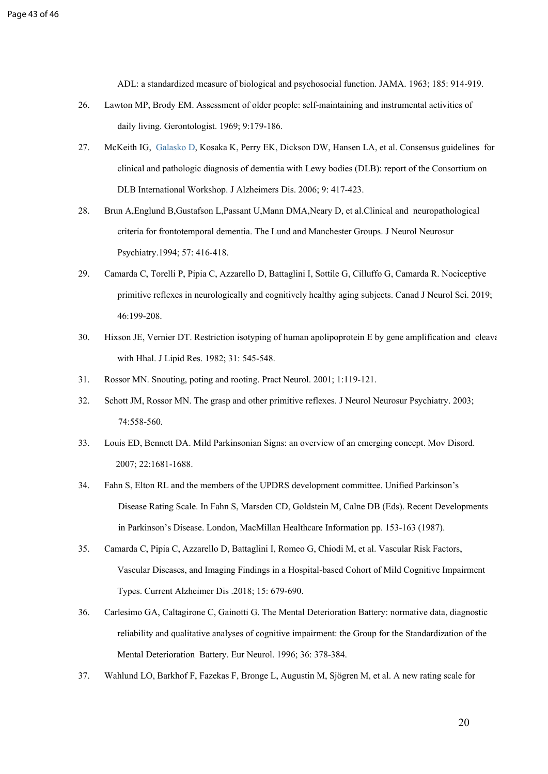ADL: a standardized measure of biological and psychosocial function. JAMA. 1963; 185: 914-919.

- 26. Lawton MP, Brody EM. Assessment of older people: self-maintaining and instrumental activities of daily living. Gerontologist. 1969; 9:179-186.
- 27. McKeith IG, [Galasko D,](https://www.ncbi.nlm.nih.gov/pubmed/?term=Galasko%20D%5BAuthor%5D&cauthor=true&cauthor_uid=8909416) [Kosaka K,](https://www.ncbi.nlm.nih.gov/pubmed/?term=Kosaka%20K%5BAuthor%5D&cauthor=true&cauthor_uid=8909416) [Perry EK](https://www.ncbi.nlm.nih.gov/pubmed/?term=Perry%20EK%5BAuthor%5D&cauthor=true&cauthor_uid=8909416), [Dickson DW,](https://www.ncbi.nlm.nih.gov/pubmed/?term=Dickson%20DW%5BAuthor%5D&cauthor=true&cauthor_uid=8909416) [Hansen LA,](https://www.ncbi.nlm.nih.gov/pubmed/?term=Hansen%20LA%5BAuthor%5D&cauthor=true&cauthor_uid=8909416) et al. Consensus guidelines for clinical and pathologic diagnosis of dementia with Lewy bodies (DLB): report of the Consortium on DLB International Workshop. J Alzheimers Dis. 2006; 9: 417-423.
- 28. Brun A,Englund B,Gustafson L,Passant U,Mann DMA,Neary D, et al.Clinical and neuropathological criteria for frontotemporal dementia. The Lund and Manchester Groups. J Neurol Neurosur Psychiatry.1994; 57: 416-418.
- 29. Camarda C, Torelli P, Pipia C, Azzarello D, Battaglini I, Sottile G, Cilluffo G, Camarda R. Nociceptive primitive reflexes in neurologically and cognitively healthy aging subjects. Canad J Neurol Sci. 2019; 46:199-208.
- 30. Hixson JE, Vernier DT. Restriction isotyping of human apolipoprotein E by gene amplification and cleavage with Hhal. J Lipid Res. 1982; 31: 545-548.
- 31. Rossor MN. Snouting, poting and rooting. Pract Neurol. 2001; 1:119-121.
- 32. Schott JM, Rossor MN. The grasp and other primitive reflexes. J Neurol Neurosur Psychiatry. 2003; 74:558-560.
- 33. Louis ED, Bennett DA. Mild Parkinsonian Signs: an overview of an emerging concept. Mov Disord. 2007; 22:1681-1688.
- 34. Fahn S, Elton RL and the members of the UPDRS development committee. Unified Parkinson's Disease Rating Scale. In Fahn S, Marsden CD, Goldstein M, Calne DB (Eds). Recent Developments in Parkinson's Disease. London, MacMillan Healthcare Information pp. 153-163 (1987).
- 35. Camarda C, Pipia C, Azzarello D, [Battaglini I](https://www.ncbi.nlm.nih.gov/pubmed/?term=Battaglini%20I%5BAuthor%5D&cauthor=true&cauthor_uid=25825125), Romeo G, Chiodi M, et al. Vascular Risk Factors, Vascular Diseases, and Imaging Findings in a Hospital-based Cohort of Mild Cognitive Impairment Types. Current Alzheimer Dis .2018; 15: 679-690.
- 36. Carlesimo GA, Caltagirone C, Gainotti G. The Mental Deterioration Battery: normative data, diagnostic reliability and qualitative analyses of cognitive impairment: the Group for the Standardization of the Mental Deterioration Battery. Eur Neurol. 1996; 36: 378-384.
- 37. Wahlund LO, Barkhof F, Fazekas F, Bronge L, Augustin M, Sjögren M, et al. A new rating scale for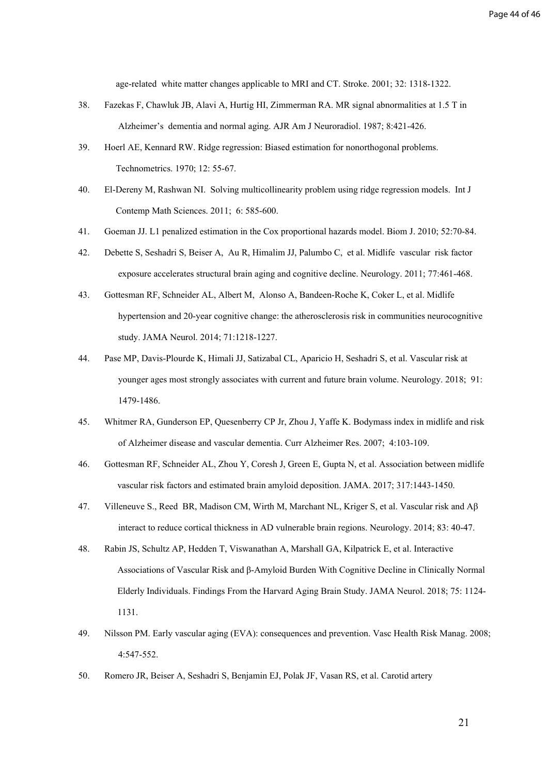age-related white matter changes applicable to MRI and CT. Stroke. 2001; 32: 1318-1322.

- 38. Fazekas F, Chawluk JB, Alavi A, Hurtig HI, Zimmerman RA. MR signal abnormalities at 1.5 T in Alzheimer's dementia and normal aging. [AJR Am J Neuroradiol.](https://www.ncbi.nlm.nih.gov/pubmed/3496763) 1987; 8:421-426.
- 39. Hoerl AE, Kennard RW. Ridge regression: Biased estimation for nonorthogonal problems. Technometrics. 1970; 12: 55-67.
- 40. El-Dereny M, Rashwan NI. Solving multicollinearity problem using ridge regression models. Int J Contemp Math Sciences. 2011; 6: 585-600.
- 41. Goeman JJ. L1 penalized estimation in the Cox proportional hazards model. [Biom J.](https://www.ncbi.nlm.nih.gov/pubmed/19937997) 2010; 52:70-84.
- 42. Debette S, Seshadri S, Beiser A, [Au](https://www.ncbi.nlm.nih.gov/pubmed/?term=Au%20R%5BAuthor%5D&cauthor=true&cauthor_uid=21810696) R, [Himalim](https://www.ncbi.nlm.nih.gov/pubmed/?term=Himali%20J%5BAuthor%5D&cauthor=true&cauthor_uid=21810696) JJ, [Palumbo](https://www.ncbi.nlm.nih.gov/pubmed/?term=Palumbo%20C%5BAuthor%5D&cauthor=true&cauthor_uid=21810696) C, et al. Midlife vascular risk factor exposure accelerates structural brain aging and cognitive decline. Neurology. 2011; 77:461-468.
- 43. Gottesman RF, Schneider AL, Albert M, [Alonso A](https://www.ncbi.nlm.nih.gov/pubmed/?term=Alonso%20A%5BAuthor%5D&cauthor=true&cauthor_uid=25090106), [Bandeen-Roche K,](https://www.ncbi.nlm.nih.gov/pubmed/?term=Bandeen-Roche%20K%5BAuthor%5D&cauthor=true&cauthor_uid=25090106) [Coker L,](https://www.ncbi.nlm.nih.gov/pubmed/?term=Coker%20L%5BAuthor%5D&cauthor=true&cauthor_uid=25090106) et al. Midlife hypertension and 20-year cognitive change: the atherosclerosis risk in communities neurocognitive study. JAMA Neurol. 2014; 71:1218-1227.
- 44. Pase MP, Davis-Plourde K, Himali JJ, Satizabal CL, Aparicio H, Seshadri S, et al. Vascular risk at younger ages most strongly associates with current and future brain volume. Neurology. 2018; 91: 1479-1486.
- 45. Whitmer RA, Gunderson EP, Quesenberry CP Jr, Zhou J, Yaffe K. Bodymass index in midlife and risk of Alzheimer disease and vascular dementia. Curr Alzheimer Res. 2007; 4:103-109.
- 46. Gottesman RF, Schneider AL, Zhou Y, Coresh J, Green E, Gupta N, et al. Association between midlife vascular risk factors and estimated brain amyloid deposition. JAMA. 2017; 317:1443-1450.
- 47. Villeneuve S., Reed BR, Madison CM, Wirth M, Marchant NL, Kriger S, et al. Vascular risk and Aβ interact to reduce cortical thickness in AD vulnerable brain regions. Neurology. 2014; 83: 40-47.
- 48. [Rabin JS](https://www.ncbi.nlm.nih.gov/pubmed/?term=Rabin%20JS%5BAuthor%5D&cauthor=true&cauthor_uid=29799986), [Schultz AP,](https://www.ncbi.nlm.nih.gov/pubmed/?term=Schultz%20AP%5BAuthor%5D&cauthor=true&cauthor_uid=29799986) [Hedden T](https://www.ncbi.nlm.nih.gov/pubmed/?term=Hedden%20T%5BAuthor%5D&cauthor=true&cauthor_uid=29799986), [Viswanathan A](https://www.ncbi.nlm.nih.gov/pubmed/?term=Viswanathan%20A%5BAuthor%5D&cauthor=true&cauthor_uid=29799986), [Marshall GA,](https://www.ncbi.nlm.nih.gov/pubmed/?term=Marshall%20GA%5BAuthor%5D&cauthor=true&cauthor_uid=29799986) [Kilpatrick E,](https://www.ncbi.nlm.nih.gov/pubmed/?term=Kilpatrick%20E%5BAuthor%5D&cauthor=true&cauthor_uid=29799986) et al. Interactive Associations of Vascular Risk and β-Amyloid Burden With Cognitive Decline in Clinically Normal Elderly Individuals. Findings From the Harvard Aging Brain Study. JAMA Neurol. 2018; 75: 1124- 1131.
- 49. Nilsson PM. Early vascular aging (EVA): consequences and prevention. Vasc Health Risk Manag. 2008; 4:547-552.
- 50. Romero JR, Beiser A, Seshadri S, Benjamin EJ, Polak JF, Vasan RS, et al. Carotid artery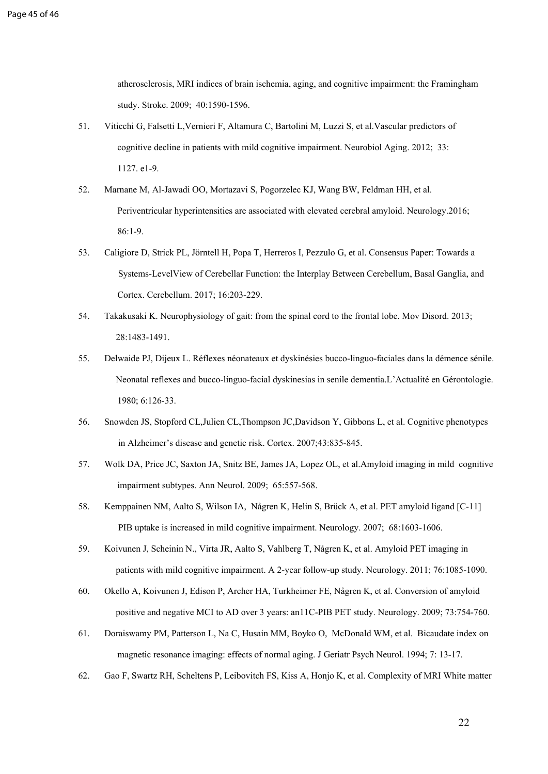atherosclerosis, MRI indices of brain ischemia, aging, and cognitive impairment: the Framingham study. Stroke. 2009; 40:1590-1596.

- 51. Viticchi G, Falsetti L,Vernieri F, Altamura C, Bartolini M, Luzzi S, et al.Vascular predictors of cognitive decline in patients with mild cognitive impairment. Neurobiol Aging. 2012; 33: 1127. e1-9.
- 52. Marnane M, Al-Jawadi OO, Mortazavi S, [Pogorzelec KJ,](https://www.ncbi.nlm.nih.gov/pubmed/?term=Pogorzelec%20KJ%5BAuthor%5D&cauthor=true&cauthor_uid=26747881) [Wang BW](https://www.ncbi.nlm.nih.gov/pubmed/?term=Wang%20BW%5BAuthor%5D&cauthor=true&cauthor_uid=26747881), [Feldman HH,](https://www.ncbi.nlm.nih.gov/pubmed/?term=Feldman%20HH%5BAuthor%5D&cauthor=true&cauthor_uid=26747881) et al. Periventricular hyperintensities are associated with elevated cerebral amyloid. Neurology.2016; 86:1-9.
- 53. Caligiore D, Strick PL, Jörntell H, Popa T, Herreros I, Pezzulo G, et al. Consensus Paper: Towards a Systems-LevelView of Cerebellar Function: the Interplay Between Cerebellum, Basal Ganglia, and Cortex. Cerebellum. 2017; 16:203-229.
- 54. Takakusaki K. Neurophysiology of gait: from the spinal cord to the frontal lobe. Mov Disord. 2013; 28:1483-1491.
- 55. Delwaide PJ, Dijeux L. Réflexes néonateaux et dyskinésies bucco-linguo-faciales dans la démence sénile. Neonatal reflexes and bucco-linguo-facial dyskinesias in senile dementia.L'Actualité en Gérontologie. 1980; 6:126-33.
- 56. Snowden JS, Stopford CL,Julien CL[,Thompson JC](https://www.ncbi.nlm.nih.gov/pubmed/?term=Thompson%20JC%5BAuthor%5D&cauthor=true&cauthor_uid=17941342)[,Davidson Y](https://www.ncbi.nlm.nih.gov/pubmed/?term=Davidson%20Y%5BAuthor%5D&cauthor=true&cauthor_uid=17941342), [Gibbons L,](https://www.ncbi.nlm.nih.gov/pubmed/?term=Gibbons%20L%5BAuthor%5D&cauthor=true&cauthor_uid=17941342) et al. Cognitive phenotypes in Alzheimer's disease and genetic risk. Cortex. 2007;43:835-845.
- 57. Wolk DA, Price JC, Saxton JA, Snitz BE, James JA, Lopez OL, et al.Amyloid imaging in mild cognitive impairment subtypes. Ann Neurol. 2009; 65:557-568.
- 58. Kemppainen NM, Aalto S, Wilson IA, Någren K, Helin S, Brück A, et al. PET amyloid ligand [C-11] PIB uptake is increased in mild cognitive impairment. Neurology. 2007; 68:1603-1606.
- 59. Koivunen J, Scheinin N., Virta JR, Aalto S, Vahlberg T, Någren K, et al. Amyloid PET imaging in patients with mild cognitive impairment. A 2-year follow-up study. Neurology. 2011; 76:1085-1090.
- 60. Okello A, Koivunen J, Edison P, Archer HA, Turkheimer FE, Någren K, et al. Conversion of amyloid positive and negative MCI to AD over 3 years: an11C-PIB PET study. Neurology. 2009; 73:754-760.
- 61. Doraiswamy PM, Patterson L, Na C, Husain MM, Boyko O, McDonald WM, et al. Bicaudate index on magnetic resonance imaging: effects of normal aging. J Geriatr Psych Neurol. 1994; 7: 13-17.
- 62. Gao F, Swartz RH, Scheltens P, Leibovitch FS, Kiss A, Honjo K, et al. Complexity of MRI White matter